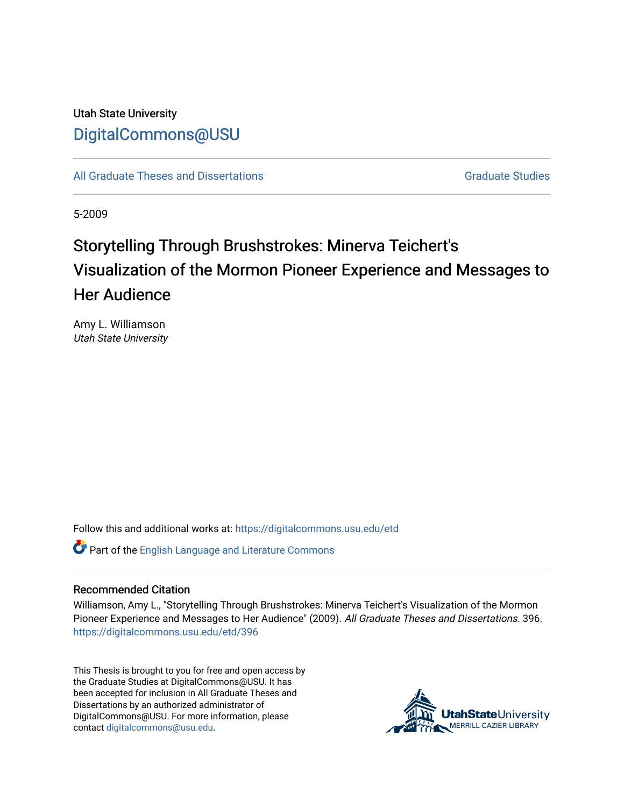# Utah State University [DigitalCommons@USU](https://digitalcommons.usu.edu/)

[All Graduate Theses and Dissertations](https://digitalcommons.usu.edu/etd) [Graduate Studies](https://digitalcommons.usu.edu/gradstudies) Graduate Studies

5-2009

# Storytelling Through Brushstrokes: Minerva Teichert's Visualization of the Mormon Pioneer Experience and Messages to Her Audience

Amy L. Williamson Utah State University

Follow this and additional works at: [https://digitalcommons.usu.edu/etd](https://digitalcommons.usu.edu/etd?utm_source=digitalcommons.usu.edu%2Fetd%2F396&utm_medium=PDF&utm_campaign=PDFCoverPages) 

Part of the [English Language and Literature Commons](http://network.bepress.com/hgg/discipline/455?utm_source=digitalcommons.usu.edu%2Fetd%2F396&utm_medium=PDF&utm_campaign=PDFCoverPages)

#### Recommended Citation

Williamson, Amy L., "Storytelling Through Brushstrokes: Minerva Teichert's Visualization of the Mormon Pioneer Experience and Messages to Her Audience" (2009). All Graduate Theses and Dissertations. 396. [https://digitalcommons.usu.edu/etd/396](https://digitalcommons.usu.edu/etd/396?utm_source=digitalcommons.usu.edu%2Fetd%2F396&utm_medium=PDF&utm_campaign=PDFCoverPages) 

This Thesis is brought to you for free and open access by the Graduate Studies at DigitalCommons@USU. It has been accepted for inclusion in All Graduate Theses and Dissertations by an authorized administrator of DigitalCommons@USU. For more information, please contact [digitalcommons@usu.edu](mailto:digitalcommons@usu.edu).

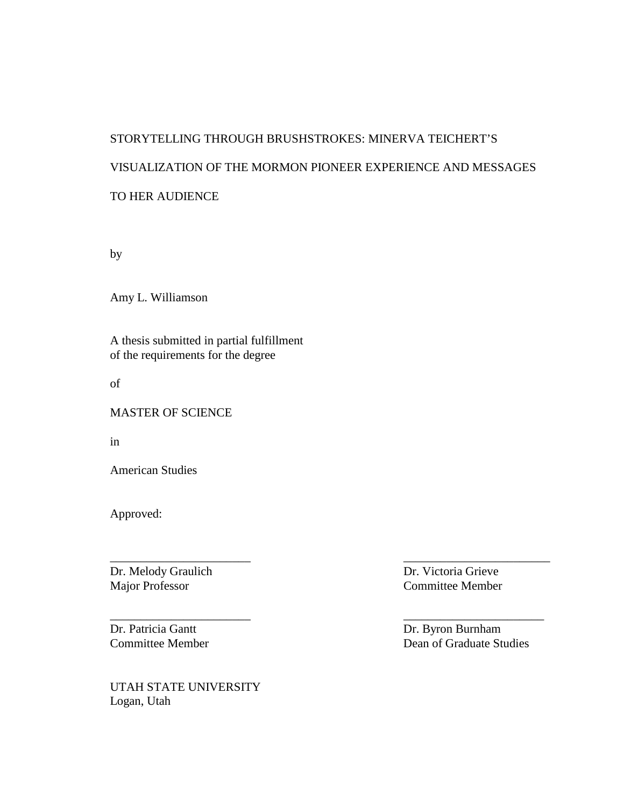# STORYTELLING THROUGH BRUSHSTROKES: MINERVA TEICHERT'S VISUALIZATION OF THE MORMON PIONEER EXPERIENCE AND MESSAGES TO HER AUDIENCE

\_\_\_\_\_\_\_\_\_\_\_\_\_\_\_\_\_\_\_\_\_\_\_ \_\_\_\_\_\_\_\_\_\_\_\_\_\_\_\_\_\_\_\_\_\_\_\_

\_\_\_\_\_\_\_\_\_\_\_\_\_\_\_\_\_\_\_\_\_\_\_ \_\_\_\_\_\_\_\_\_\_\_\_\_\_\_\_\_\_\_\_\_\_\_

by

Amy L. Williamson

A thesis submitted in partial fulfillment of the requirements for the degree

of

MASTER OF SCIENCE

in

American Studies

Approved:

Dr. Melody Graulich Dr. Victoria Grieve Major Professor Committee Member

Dr. Patricia Gantt Dr. Byron Burnham

UTAH STATE UNIVERSITY Logan, Utah

Committee Member Dean of Graduate Studies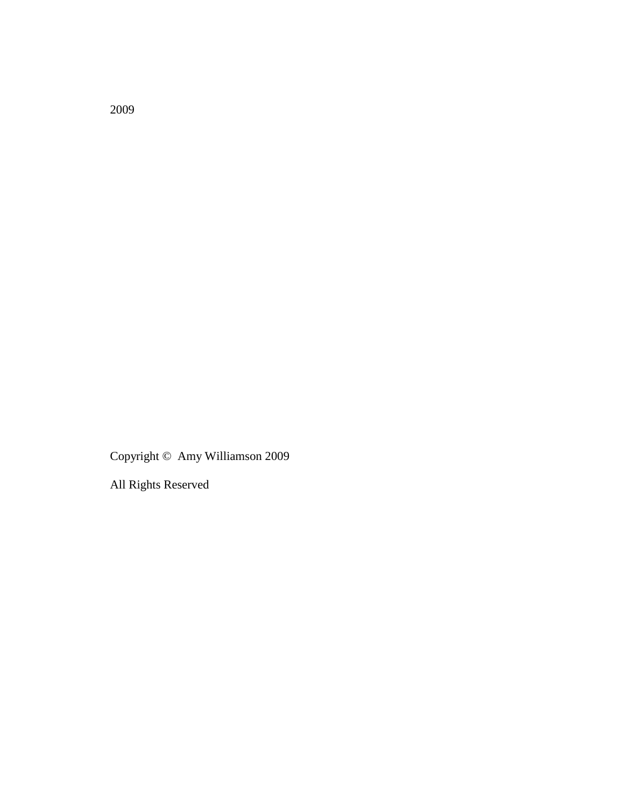Copyright © Amy Williamson 2009

All Rights Reserved

2009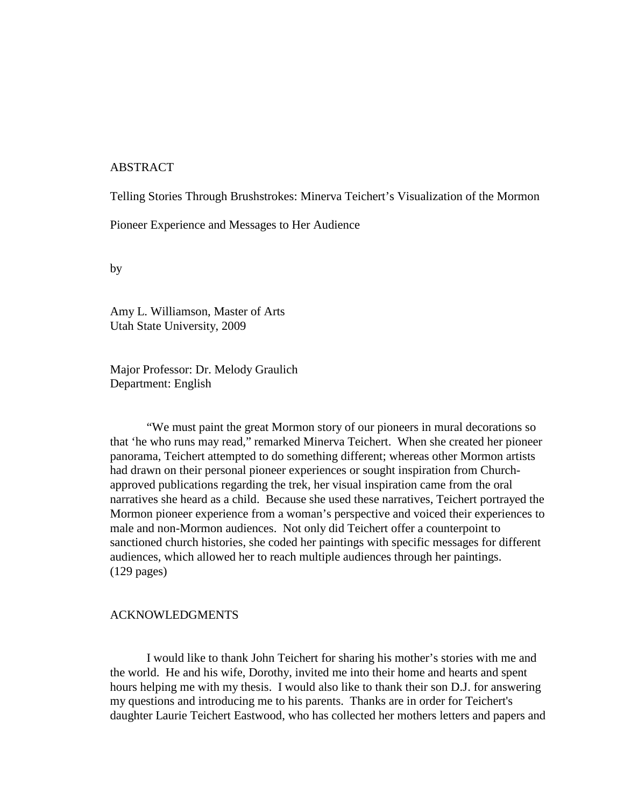#### ABSTRACT

Telling Stories Through Brushstrokes: Minerva Teichert's Visualization of the Mormon

Pioneer Experience and Messages to Her Audience

by

Amy L. Williamson, Master of Arts Utah State University, 2009

Major Professor: Dr. Melody Graulich Department: English

 "We must paint the great Mormon story of our pioneers in mural decorations so that 'he who runs may read," remarked Minerva Teichert. When she created her pioneer panorama, Teichert attempted to do something different; whereas other Mormon artists had drawn on their personal pioneer experiences or sought inspiration from Churchapproved publications regarding the trek, her visual inspiration came from the oral narratives she heard as a child. Because she used these narratives, Teichert portrayed the Mormon pioneer experience from a woman's perspective and voiced their experiences to male and non-Mormon audiences. Not only did Teichert offer a counterpoint to sanctioned church histories, she coded her paintings with specific messages for different audiences, which allowed her to reach multiple audiences through her paintings. (129 pages)

#### ACKNOWLEDGMENTS

 I would like to thank John Teichert for sharing his mother's stories with me and the world. He and his wife, Dorothy, invited me into their home and hearts and spent hours helping me with my thesis. I would also like to thank their son D.J. for answering my questions and introducing me to his parents. Thanks are in order for Teichert's daughter Laurie Teichert Eastwood, who has collected her mothers letters and papers and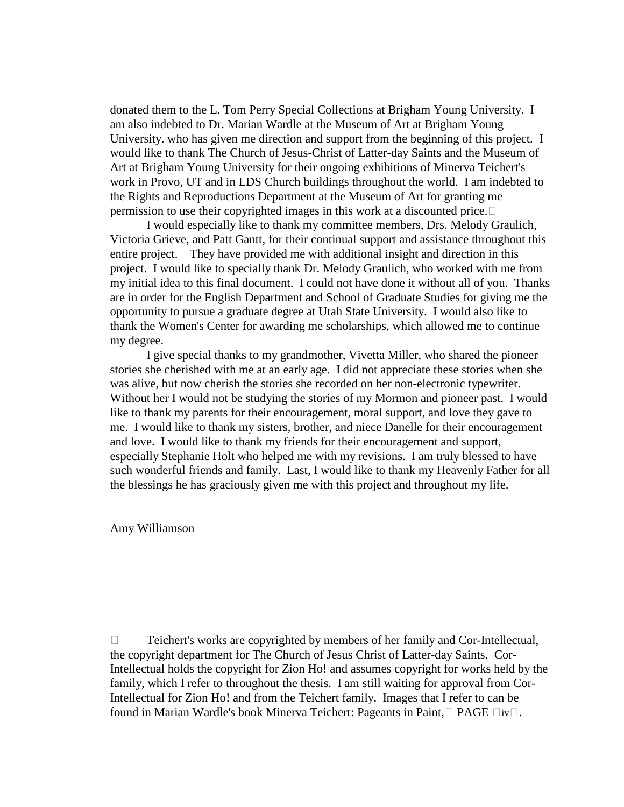donated them to the L. Tom Perry Special Collections at Brigham Young University. I am also indebted to Dr. Marian Wardle at the Museum of Art at Brigham Young University. who has given me direction and support from the beginning of this project. I would like to thank The Church of Jesus-Christ of Latter-day Saints and the Museum of Art at Brigham Young University for their ongoing exhibitions of Minerva Teichert's work in Provo, UT and in LDS Church buildings throughout the world. I am indebted to the Rights and Reproductions Department at the Museum of Art for granting me permission to use their copyrighted images in this work at a discounted price.

 I would especially like to thank my committee members, Drs. Melody Graulich, Victoria Grieve, and Patt Gantt, for their continual support and assistance throughout this entire project. They have provided me with additional insight and direction in this project. I would like to specially thank Dr. Melody Graulich, who worked with me from my initial idea to this final document. I could not have done it without all of you. Thanks are in order for the English Department and School of Graduate Studies for giving me the opportunity to pursue a graduate degree at Utah State University. I would also like to thank the Women's Center for awarding me scholarships, which allowed me to continue my degree.

 I give special thanks to my grandmother, Vivetta Miller, who shared the pioneer stories she cherished with me at an early age. I did not appreciate these stories when she was alive, but now cherish the stories she recorded on her non-electronic typewriter. Without her I would not be studying the stories of my Mormon and pioneer past. I would like to thank my parents for their encouragement, moral support, and love they gave to me. I would like to thank my sisters, brother, and niece Danelle for their encouragement and love. I would like to thank my friends for their encouragement and support, especially Stephanie Holt who helped me with my revisions. I am truly blessed to have such wonderful friends and family. Last, I would like to thank my Heavenly Father for all the blessings he has graciously given me with this project and throughout my life.

Amy Williamson

 $\overline{a}$ 

Teichert's works are copyrighted by members of her family and Cor-Intellectual, the copyright department for The Church of Jesus Christ of Latter-day Saints. Cor-Intellectual holds the copyright for Zion Ho! and assumes copyright for works held by the family, which I refer to throughout the thesis. I am still waiting for approval from Cor-Intellectual for Zion Ho! and from the Teichert family. Images that I refer to can be found in Marian Wardle's book Minerva Teichert: Pageants in Paint, PAGE iv.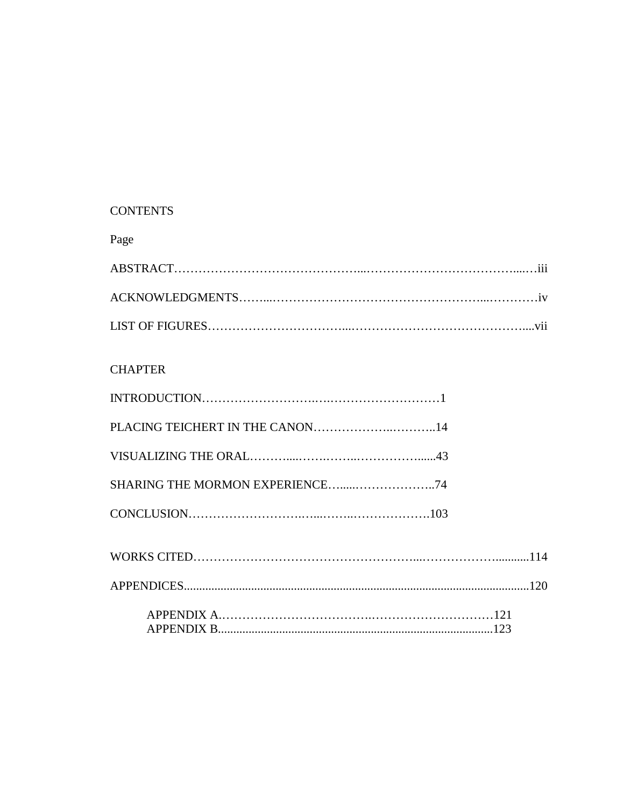## **CONTENTS**

Page

## **CHAPTER**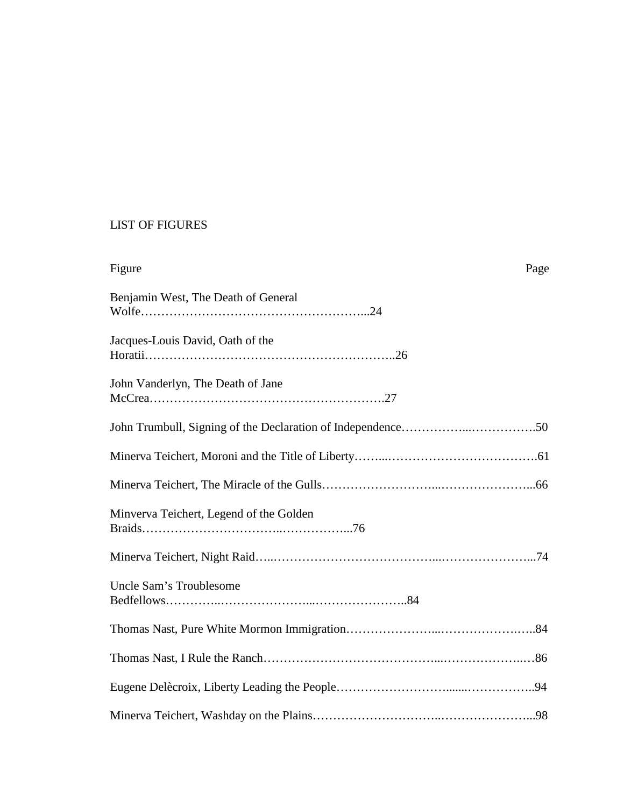## LIST OF FIGURES

| Figure<br>Page                          |
|-----------------------------------------|
| Benjamin West, The Death of General     |
| Jacques-Louis David, Oath of the        |
| John Vanderlyn, The Death of Jane       |
|                                         |
|                                         |
|                                         |
| Minverva Teichert, Legend of the Golden |
|                                         |
| Uncle Sam's Troublesome                 |
|                                         |
|                                         |
|                                         |
|                                         |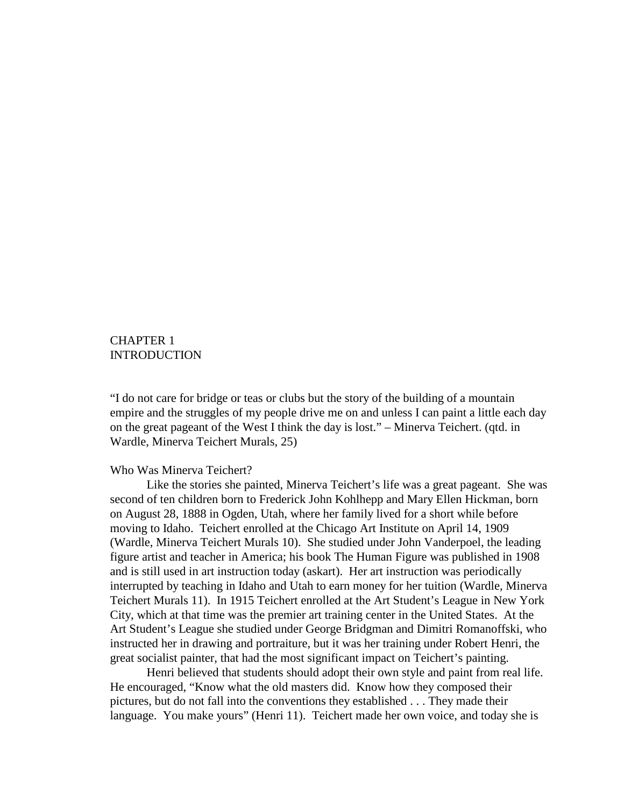### CHAPTER 1 **INTRODUCTION**

"I do not care for bridge or teas or clubs but the story of the building of a mountain empire and the struggles of my people drive me on and unless I can paint a little each day on the great pageant of the West I think the day is lost." – Minerva Teichert. (qtd. in Wardle, Minerva Teichert Murals, 25)

#### Who Was Minerva Teichert?

 Like the stories she painted, Minerva Teichert's life was a great pageant. She was second of ten children born to Frederick John Kohlhepp and Mary Ellen Hickman, born on August 28, 1888 in Ogden, Utah, where her family lived for a short while before moving to Idaho. Teichert enrolled at the Chicago Art Institute on April 14, 1909 (Wardle, Minerva Teichert Murals 10). She studied under John Vanderpoel, the leading figure artist and teacher in America; his book The Human Figure was published in 1908 and is still used in art instruction today (askart). Her art instruction was periodically interrupted by teaching in Idaho and Utah to earn money for her tuition (Wardle, Minerva Teichert Murals 11). In 1915 Teichert enrolled at the Art Student's League in New York City, which at that time was the premier art training center in the United States. At the Art Student's League she studied under George Bridgman and Dimitri Romanoffski, who instructed her in drawing and portraiture, but it was her training under Robert Henri, the great socialist painter, that had the most significant impact on Teichert's painting.

 Henri believed that students should adopt their own style and paint from real life. He encouraged, "Know what the old masters did. Know how they composed their pictures, but do not fall into the conventions they established . . . They made their language. You make yours" (Henri 11). Teichert made her own voice, and today she is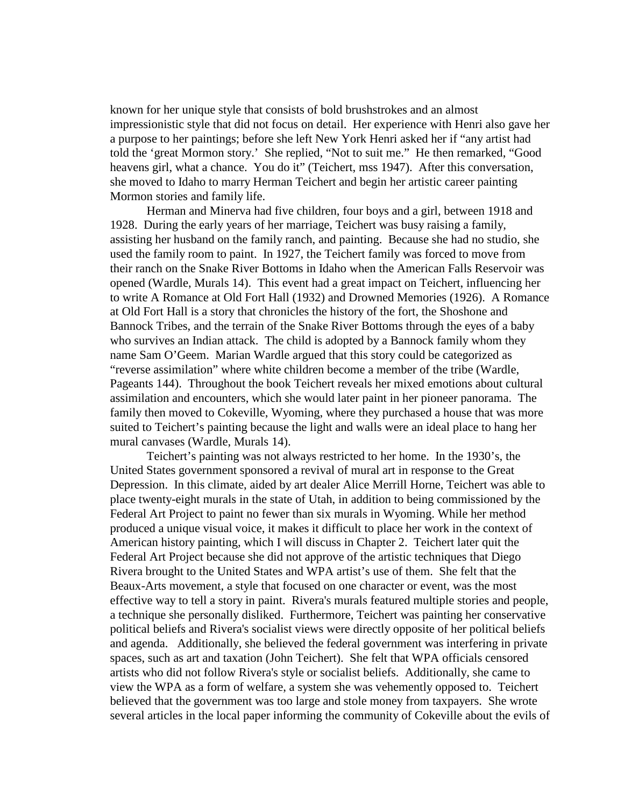known for her unique style that consists of bold brushstrokes and an almost impressionistic style that did not focus on detail. Her experience with Henri also gave her a purpose to her paintings; before she left New York Henri asked her if "any artist had told the 'great Mormon story.' She replied, "Not to suit me." He then remarked, "Good heavens girl, what a chance. You do it" (Teichert, mss 1947). After this conversation, she moved to Idaho to marry Herman Teichert and begin her artistic career painting Mormon stories and family life.

 Herman and Minerva had five children, four boys and a girl, between 1918 and 1928. During the early years of her marriage, Teichert was busy raising a family, assisting her husband on the family ranch, and painting. Because she had no studio, she used the family room to paint. In 1927, the Teichert family was forced to move from their ranch on the Snake River Bottoms in Idaho when the American Falls Reservoir was opened (Wardle, Murals 14). This event had a great impact on Teichert, influencing her to write A Romance at Old Fort Hall (1932) and Drowned Memories (1926). A Romance at Old Fort Hall is a story that chronicles the history of the fort, the Shoshone and Bannock Tribes, and the terrain of the Snake River Bottoms through the eyes of a baby who survives an Indian attack. The child is adopted by a Bannock family whom they name Sam O'Geem. Marian Wardle argued that this story could be categorized as "reverse assimilation" where white children become a member of the tribe (Wardle, Pageants 144). Throughout the book Teichert reveals her mixed emotions about cultural assimilation and encounters, which she would later paint in her pioneer panorama. The family then moved to Cokeville, Wyoming, where they purchased a house that was more suited to Teichert's painting because the light and walls were an ideal place to hang her mural canvases (Wardle, Murals 14).

 Teichert's painting was not always restricted to her home. In the 1930's, the United States government sponsored a revival of mural art in response to the Great Depression. In this climate, aided by art dealer Alice Merrill Horne, Teichert was able to place twenty-eight murals in the state of Utah, in addition to being commissioned by the Federal Art Project to paint no fewer than six murals in Wyoming. While her method produced a unique visual voice, it makes it difficult to place her work in the context of American history painting, which I will discuss in Chapter 2. Teichert later quit the Federal Art Project because she did not approve of the artistic techniques that Diego Rivera brought to the United States and WPA artist's use of them. She felt that the Beaux-Arts movement, a style that focused on one character or event, was the most effective way to tell a story in paint. Rivera's murals featured multiple stories and people, a technique she personally disliked. Furthermore, Teichert was painting her conservative political beliefs and Rivera's socialist views were directly opposite of her political beliefs and agenda. Additionally, she believed the federal government was interfering in private spaces, such as art and taxation (John Teichert). She felt that WPA officials censored artists who did not follow Rivera's style or socialist beliefs. Additionally, she came to view the WPA as a form of welfare, a system she was vehemently opposed to. Teichert believed that the government was too large and stole money from taxpayers. She wrote several articles in the local paper informing the community of Cokeville about the evils of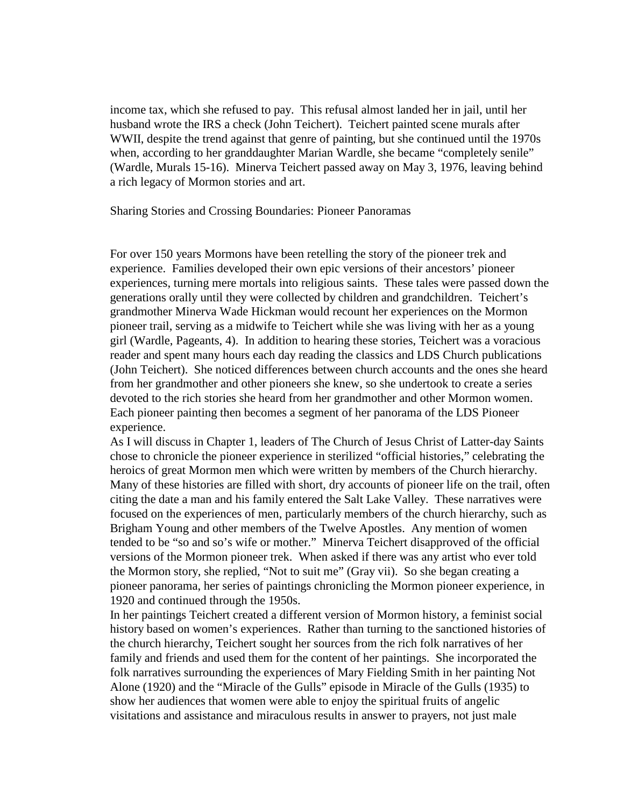income tax, which she refused to pay. This refusal almost landed her in jail, until her husband wrote the IRS a check (John Teichert). Teichert painted scene murals after WWII, despite the trend against that genre of painting, but she continued until the 1970s when, according to her granddaughter Marian Wardle, she became "completely senile" (Wardle, Murals 15-16). Minerva Teichert passed away on May 3, 1976, leaving behind a rich legacy of Mormon stories and art.

Sharing Stories and Crossing Boundaries: Pioneer Panoramas

For over 150 years Mormons have been retelling the story of the pioneer trek and experience. Families developed their own epic versions of their ancestors' pioneer experiences, turning mere mortals into religious saints. These tales were passed down the generations orally until they were collected by children and grandchildren. Teichert's grandmother Minerva Wade Hickman would recount her experiences on the Mormon pioneer trail, serving as a midwife to Teichert while she was living with her as a young girl (Wardle, Pageants, 4). In addition to hearing these stories, Teichert was a voracious reader and spent many hours each day reading the classics and LDS Church publications (John Teichert). She noticed differences between church accounts and the ones she heard from her grandmother and other pioneers she knew, so she undertook to create a series devoted to the rich stories she heard from her grandmother and other Mormon women. Each pioneer painting then becomes a segment of her panorama of the LDS Pioneer experience.

As I will discuss in Chapter 1, leaders of The Church of Jesus Christ of Latter-day Saints chose to chronicle the pioneer experience in sterilized "official histories," celebrating the heroics of great Mormon men which were written by members of the Church hierarchy. Many of these histories are filled with short, dry accounts of pioneer life on the trail, often citing the date a man and his family entered the Salt Lake Valley. These narratives were focused on the experiences of men, particularly members of the church hierarchy, such as Brigham Young and other members of the Twelve Apostles. Any mention of women tended to be "so and so's wife or mother." Minerva Teichert disapproved of the official versions of the Mormon pioneer trek. When asked if there was any artist who ever told the Mormon story, she replied, "Not to suit me" (Gray vii). So she began creating a pioneer panorama, her series of paintings chronicling the Mormon pioneer experience, in 1920 and continued through the 1950s.

In her paintings Teichert created a different version of Mormon history, a feminist social history based on women's experiences. Rather than turning to the sanctioned histories of the church hierarchy, Teichert sought her sources from the rich folk narratives of her family and friends and used them for the content of her paintings. She incorporated the folk narratives surrounding the experiences of Mary Fielding Smith in her painting Not Alone (1920) and the "Miracle of the Gulls" episode in Miracle of the Gulls (1935) to show her audiences that women were able to enjoy the spiritual fruits of angelic visitations and assistance and miraculous results in answer to prayers, not just male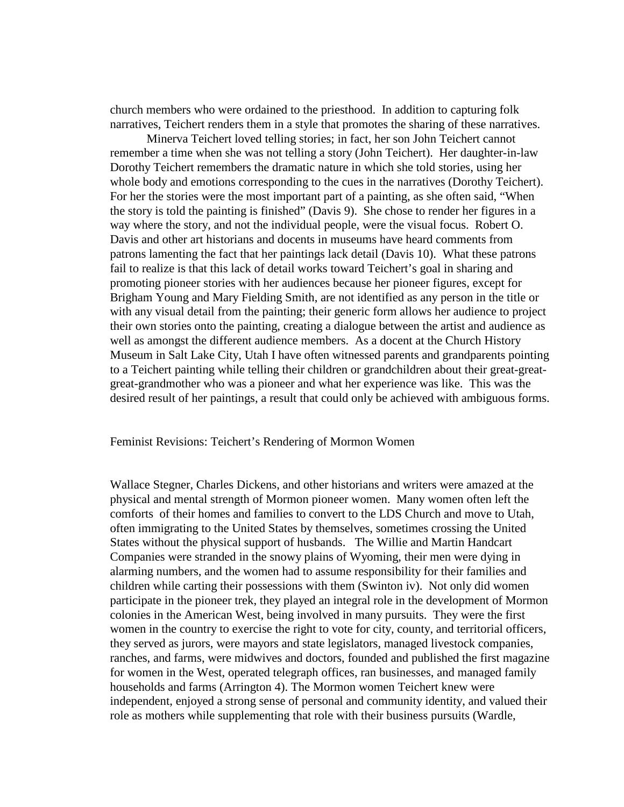church members who were ordained to the priesthood. In addition to capturing folk narratives, Teichert renders them in a style that promotes the sharing of these narratives.

 Minerva Teichert loved telling stories; in fact, her son John Teichert cannot remember a time when she was not telling a story (John Teichert). Her daughter-in-law Dorothy Teichert remembers the dramatic nature in which she told stories, using her whole body and emotions corresponding to the cues in the narratives (Dorothy Teichert). For her the stories were the most important part of a painting, as she often said, "When the story is told the painting is finished" (Davis 9). She chose to render her figures in a way where the story, and not the individual people, were the visual focus. Robert O. Davis and other art historians and docents in museums have heard comments from patrons lamenting the fact that her paintings lack detail (Davis 10). What these patrons fail to realize is that this lack of detail works toward Teichert's goal in sharing and promoting pioneer stories with her audiences because her pioneer figures, except for Brigham Young and Mary Fielding Smith, are not identified as any person in the title or with any visual detail from the painting; their generic form allows her audience to project their own stories onto the painting, creating a dialogue between the artist and audience as well as amongst the different audience members. As a docent at the Church History Museum in Salt Lake City, Utah I have often witnessed parents and grandparents pointing to a Teichert painting while telling their children or grandchildren about their great-greatgreat-grandmother who was a pioneer and what her experience was like. This was the desired result of her paintings, a result that could only be achieved with ambiguous forms.

Feminist Revisions: Teichert's Rendering of Mormon Women

Wallace Stegner, Charles Dickens, and other historians and writers were amazed at the physical and mental strength of Mormon pioneer women. Many women often left the comforts of their homes and families to convert to the LDS Church and move to Utah, often immigrating to the United States by themselves, sometimes crossing the United States without the physical support of husbands. The Willie and Martin Handcart Companies were stranded in the snowy plains of Wyoming, their men were dying in alarming numbers, and the women had to assume responsibility for their families and children while carting their possessions with them (Swinton iv). Not only did women participate in the pioneer trek, they played an integral role in the development of Mormon colonies in the American West, being involved in many pursuits. They were the first women in the country to exercise the right to vote for city, county, and territorial officers, they served as jurors, were mayors and state legislators, managed livestock companies, ranches, and farms, were midwives and doctors, founded and published the first magazine for women in the West, operated telegraph offices, ran businesses, and managed family households and farms (Arrington 4). The Mormon women Teichert knew were independent, enjoyed a strong sense of personal and community identity, and valued their role as mothers while supplementing that role with their business pursuits (Wardle,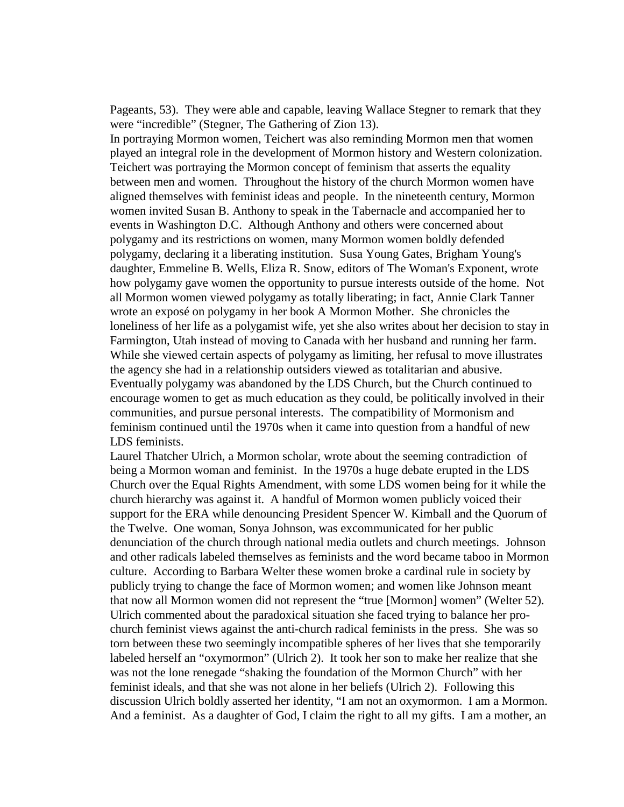Pageants, 53). They were able and capable, leaving Wallace Stegner to remark that they were "incredible" (Stegner, The Gathering of Zion 13).

In portraying Mormon women, Teichert was also reminding Mormon men that women played an integral role in the development of Mormon history and Western colonization. Teichert was portraying the Mormon concept of feminism that asserts the equality between men and women. Throughout the history of the church Mormon women have aligned themselves with feminist ideas and people. In the nineteenth century, Mormon women invited Susan B. Anthony to speak in the Tabernacle and accompanied her to events in Washington D.C. Although Anthony and others were concerned about polygamy and its restrictions on women, many Mormon women boldly defended polygamy, declaring it a liberating institution. Susa Young Gates, Brigham Young's daughter, Emmeline B. Wells, Eliza R. Snow, editors of The Woman's Exponent, wrote how polygamy gave women the opportunity to pursue interests outside of the home. Not all Mormon women viewed polygamy as totally liberating; in fact, Annie Clark Tanner wrote an exposé on polygamy in her book A Mormon Mother. She chronicles the loneliness of her life as a polygamist wife, yet she also writes about her decision to stay in Farmington, Utah instead of moving to Canada with her husband and running her farm. While she viewed certain aspects of polygamy as limiting, her refusal to move illustrates the agency she had in a relationship outsiders viewed as totalitarian and abusive. Eventually polygamy was abandoned by the LDS Church, but the Church continued to encourage women to get as much education as they could, be politically involved in their communities, and pursue personal interests. The compatibility of Mormonism and feminism continued until the 1970s when it came into question from a handful of new LDS feminists.

Laurel Thatcher Ulrich, a Mormon scholar, wrote about the seeming contradiction of being a Mormon woman and feminist. In the 1970s a huge debate erupted in the LDS Church over the Equal Rights Amendment, with some LDS women being for it while the church hierarchy was against it. A handful of Mormon women publicly voiced their support for the ERA while denouncing President Spencer W. Kimball and the Quorum of the Twelve. One woman, Sonya Johnson, was excommunicated for her public denunciation of the church through national media outlets and church meetings. Johnson and other radicals labeled themselves as feminists and the word became taboo in Mormon culture. According to Barbara Welter these women broke a cardinal rule in society by publicly trying to change the face of Mormon women; and women like Johnson meant that now all Mormon women did not represent the "true [Mormon] women" (Welter 52). Ulrich commented about the paradoxical situation she faced trying to balance her prochurch feminist views against the anti-church radical feminists in the press. She was so torn between these two seemingly incompatible spheres of her lives that she temporarily labeled herself an "oxymormon" (Ulrich 2). It took her son to make her realize that she was not the lone renegade "shaking the foundation of the Mormon Church" with her feminist ideals, and that she was not alone in her beliefs (Ulrich 2). Following this discussion Ulrich boldly asserted her identity, "I am not an oxymormon. I am a Mormon. And a feminist. As a daughter of God, I claim the right to all my gifts. I am a mother, an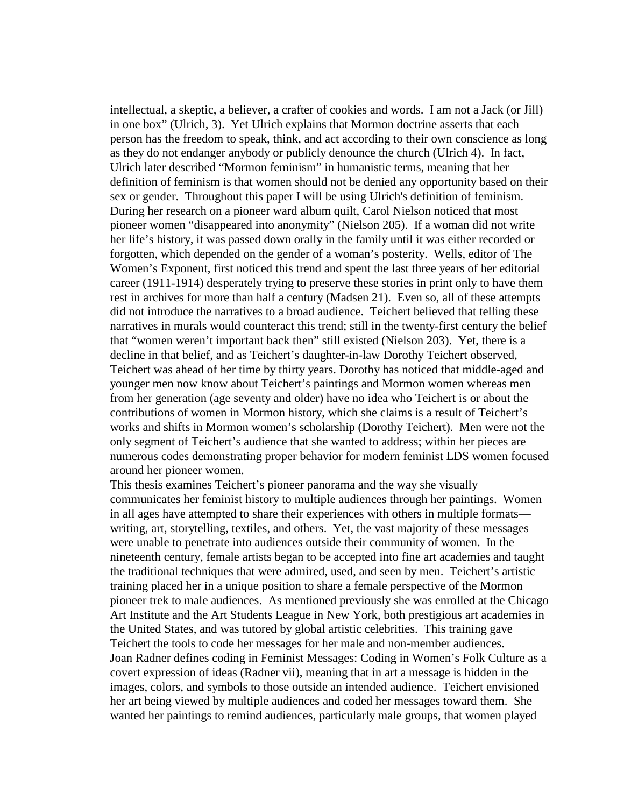intellectual, a skeptic, a believer, a crafter of cookies and words. I am not a Jack (or Jill) in one box" (Ulrich, 3). Yet Ulrich explains that Mormon doctrine asserts that each person has the freedom to speak, think, and act according to their own conscience as long as they do not endanger anybody or publicly denounce the church (Ulrich 4). In fact, Ulrich later described "Mormon feminism" in humanistic terms, meaning that her definition of feminism is that women should not be denied any opportunity based on their sex or gender. Throughout this paper I will be using Ulrich's definition of feminism. During her research on a pioneer ward album quilt, Carol Nielson noticed that most pioneer women "disappeared into anonymity" (Nielson 205). If a woman did not write her life's history, it was passed down orally in the family until it was either recorded or forgotten, which depended on the gender of a woman's posterity. Wells, editor of The Women's Exponent, first noticed this trend and spent the last three years of her editorial career (1911-1914) desperately trying to preserve these stories in print only to have them rest in archives for more than half a century (Madsen 21). Even so, all of these attempts did not introduce the narratives to a broad audience. Teichert believed that telling these narratives in murals would counteract this trend; still in the twenty-first century the belief that "women weren't important back then" still existed (Nielson 203). Yet, there is a decline in that belief, and as Teichert's daughter-in-law Dorothy Teichert observed, Teichert was ahead of her time by thirty years. Dorothy has noticed that middle-aged and younger men now know about Teichert's paintings and Mormon women whereas men from her generation (age seventy and older) have no idea who Teichert is or about the contributions of women in Mormon history, which she claims is a result of Teichert's works and shifts in Mormon women's scholarship (Dorothy Teichert). Men were not the only segment of Teichert's audience that she wanted to address; within her pieces are numerous codes demonstrating proper behavior for modern feminist LDS women focused around her pioneer women.

This thesis examines Teichert's pioneer panorama and the way she visually communicates her feminist history to multiple audiences through her paintings. Women in all ages have attempted to share their experiences with others in multiple formats writing, art, storytelling, textiles, and others. Yet, the vast majority of these messages were unable to penetrate into audiences outside their community of women. In the nineteenth century, female artists began to be accepted into fine art academies and taught the traditional techniques that were admired, used, and seen by men. Teichert's artistic training placed her in a unique position to share a female perspective of the Mormon pioneer trek to male audiences. As mentioned previously she was enrolled at the Chicago Art Institute and the Art Students League in New York, both prestigious art academies in the United States, and was tutored by global artistic celebrities. This training gave Teichert the tools to code her messages for her male and non-member audiences. Joan Radner defines coding in Feminist Messages: Coding in Women's Folk Culture as a covert expression of ideas (Radner vii), meaning that in art a message is hidden in the images, colors, and symbols to those outside an intended audience. Teichert envisioned her art being viewed by multiple audiences and coded her messages toward them. She wanted her paintings to remind audiences, particularly male groups, that women played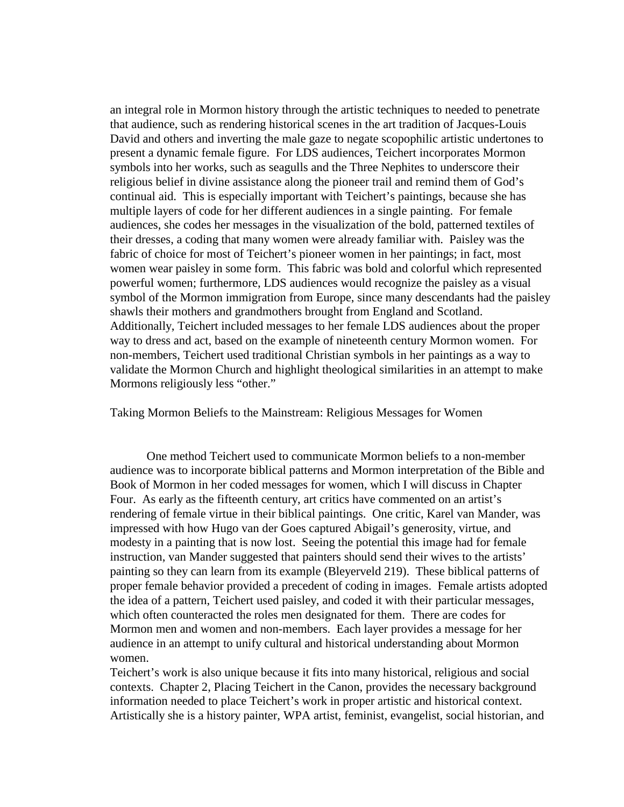an integral role in Mormon history through the artistic techniques to needed to penetrate that audience, such as rendering historical scenes in the art tradition of Jacques-Louis David and others and inverting the male gaze to negate scopophilic artistic undertones to present a dynamic female figure. For LDS audiences, Teichert incorporates Mormon symbols into her works, such as seagulls and the Three Nephites to underscore their religious belief in divine assistance along the pioneer trail and remind them of God's continual aid. This is especially important with Teichert's paintings, because she has multiple layers of code for her different audiences in a single painting. For female audiences, she codes her messages in the visualization of the bold, patterned textiles of their dresses, a coding that many women were already familiar with. Paisley was the fabric of choice for most of Teichert's pioneer women in her paintings; in fact, most women wear paisley in some form. This fabric was bold and colorful which represented powerful women; furthermore, LDS audiences would recognize the paisley as a visual symbol of the Mormon immigration from Europe, since many descendants had the paisley shawls their mothers and grandmothers brought from England and Scotland. Additionally, Teichert included messages to her female LDS audiences about the proper way to dress and act, based on the example of nineteenth century Mormon women. For non-members, Teichert used traditional Christian symbols in her paintings as a way to validate the Mormon Church and highlight theological similarities in an attempt to make Mormons religiously less "other."

Taking Mormon Beliefs to the Mainstream: Religious Messages for Women

 One method Teichert used to communicate Mormon beliefs to a non-member audience was to incorporate biblical patterns and Mormon interpretation of the Bible and Book of Mormon in her coded messages for women, which I will discuss in Chapter Four. As early as the fifteenth century, art critics have commented on an artist's rendering of female virtue in their biblical paintings. One critic, Karel van Mander, was impressed with how Hugo van der Goes captured Abigail's generosity, virtue, and modesty in a painting that is now lost. Seeing the potential this image had for female instruction, van Mander suggested that painters should send their wives to the artists' painting so they can learn from its example (Bleyerveld 219). These biblical patterns of proper female behavior provided a precedent of coding in images. Female artists adopted the idea of a pattern, Teichert used paisley, and coded it with their particular messages, which often counteracted the roles men designated for them. There are codes for Mormon men and women and non-members. Each layer provides a message for her audience in an attempt to unify cultural and historical understanding about Mormon women.

Teichert's work is also unique because it fits into many historical, religious and social contexts. Chapter 2, Placing Teichert in the Canon, provides the necessary background information needed to place Teichert's work in proper artistic and historical context. Artistically she is a history painter, WPA artist, feminist, evangelist, social historian, and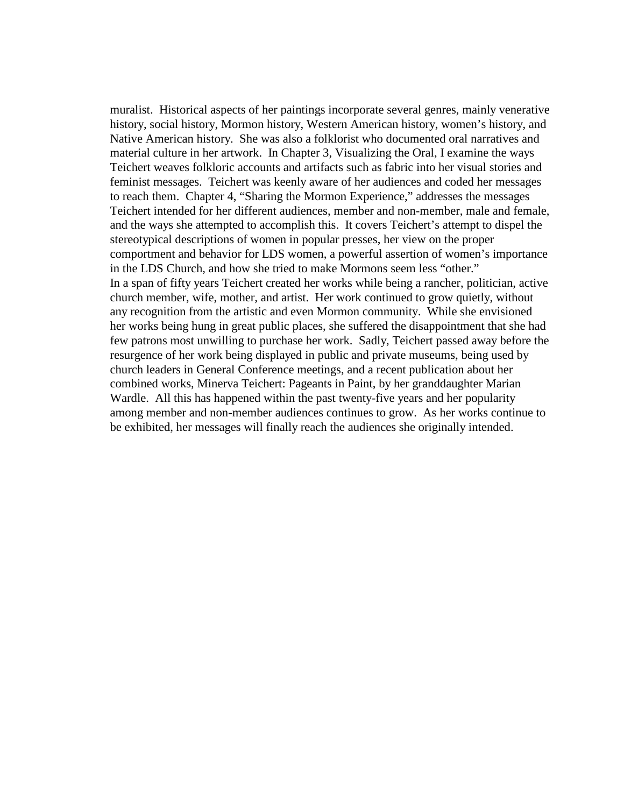muralist. Historical aspects of her paintings incorporate several genres, mainly venerative history, social history, Mormon history, Western American history, women's history, and Native American history. She was also a folklorist who documented oral narratives and material culture in her artwork. In Chapter 3, Visualizing the Oral, I examine the ways Teichert weaves folkloric accounts and artifacts such as fabric into her visual stories and feminist messages. Teichert was keenly aware of her audiences and coded her messages to reach them. Chapter 4, "Sharing the Mormon Experience," addresses the messages Teichert intended for her different audiences, member and non-member, male and female, and the ways she attempted to accomplish this. It covers Teichert's attempt to dispel the stereotypical descriptions of women in popular presses, her view on the proper comportment and behavior for LDS women, a powerful assertion of women's importance in the LDS Church, and how she tried to make Mormons seem less "other." In a span of fifty years Teichert created her works while being a rancher, politician, active church member, wife, mother, and artist. Her work continued to grow quietly, without any recognition from the artistic and even Mormon community. While she envisioned her works being hung in great public places, she suffered the disappointment that she had few patrons most unwilling to purchase her work. Sadly, Teichert passed away before the resurgence of her work being displayed in public and private museums, being used by church leaders in General Conference meetings, and a recent publication about her combined works, Minerva Teichert: Pageants in Paint, by her granddaughter Marian Wardle. All this has happened within the past twenty-five years and her popularity among member and non-member audiences continues to grow. As her works continue to be exhibited, her messages will finally reach the audiences she originally intended.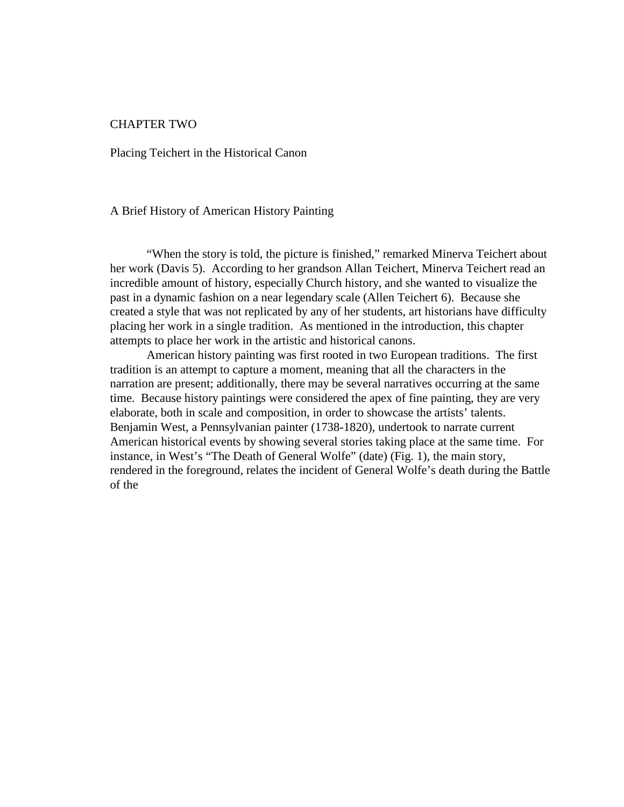#### CHAPTER TWO

Placing Teichert in the Historical Canon

#### A Brief History of American History Painting

 "When the story is told, the picture is finished," remarked Minerva Teichert about her work (Davis 5). According to her grandson Allan Teichert, Minerva Teichert read an incredible amount of history, especially Church history, and she wanted to visualize the past in a dynamic fashion on a near legendary scale (Allen Teichert 6). Because she created a style that was not replicated by any of her students, art historians have difficulty placing her work in a single tradition. As mentioned in the introduction, this chapter attempts to place her work in the artistic and historical canons.

 American history painting was first rooted in two European traditions. The first tradition is an attempt to capture a moment, meaning that all the characters in the narration are present; additionally, there may be several narratives occurring at the same time. Because history paintings were considered the apex of fine painting, they are very elaborate, both in scale and composition, in order to showcase the artists' talents. Benjamin West, a Pennsylvanian painter (1738-1820), undertook to narrate current American historical events by showing several stories taking place at the same time. For instance, in West's "The Death of General Wolfe" (date) (Fig. 1), the main story, rendered in the foreground, relates the incident of General Wolfe's death during the Battle of the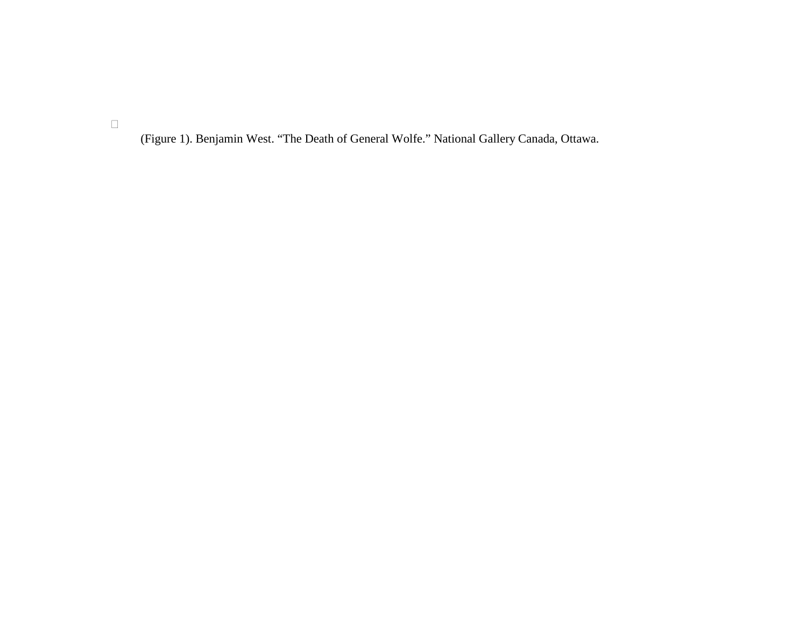(Figure 1). Benjamin West. "The Death of General Wolfe." National Gallery Canada, Ottawa.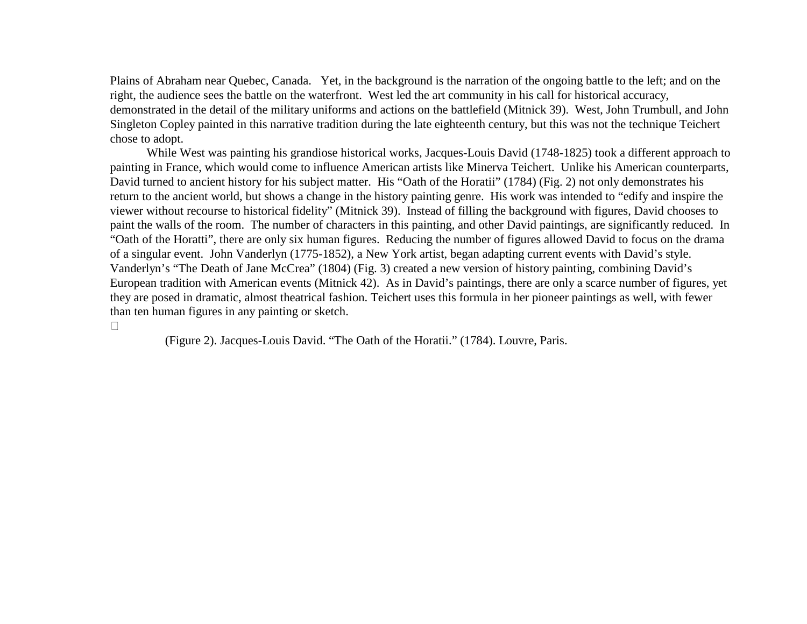Plains of Abraham near Quebec, Canada. Yet, in the background is the narration of the ongoing battle to the left; and on the right, the audience sees the battle on the waterfront. West led the art community in his call for historical accuracy, demonstrated in the detail of the military uniforms and actions on the battlefield (Mitnick 39). West, John Trumbull, and John Singleton Copley painted in this narrative tradition during the late eighteenth century, but this was not the technique Teichert chose to adopt.

 While West was painting his grandiose historical works, Jacques-Louis David (1748-1825) took a different approach to painting in France, which would come to influence American artists like Minerva Teichert. Unlike his American counterparts, David turned to ancient history for his subject matter. His "Oath of the Horatii" (1784) (Fig. 2) not only demonstrates his return to the ancient world, but shows a change in the history painting genre. His work was intended to "edify and inspire the viewer without recourse to historical fidelity" (Mitnick 39). Instead of filling the background with figures, David chooses to paint the walls of the room. The number of characters in this painting, and other David paintings, are significantly reduced. In "Oath of the Horatti", there are only six human figures. Reducing the number of figures allowed David to focus on the drama of a singular event. John Vanderlyn (1775-1852), a New York artist, began adapting current events with David's style. Vanderlyn's "The Death of Jane McCrea" (1804) (Fig. 3) created a new version of history painting, combining David's European tradition with American events (Mitnick 42). As in David's paintings, there are only a scarce number of figures, yet they are posed in dramatic, almost theatrical fashion. Teichert uses this formula in her pioneer paintings as well, with fewer than ten human figures in any painting or sketch.

(Figure 2). Jacques-Louis David. "The Oath of the Horatii." (1784). Louvre, Paris.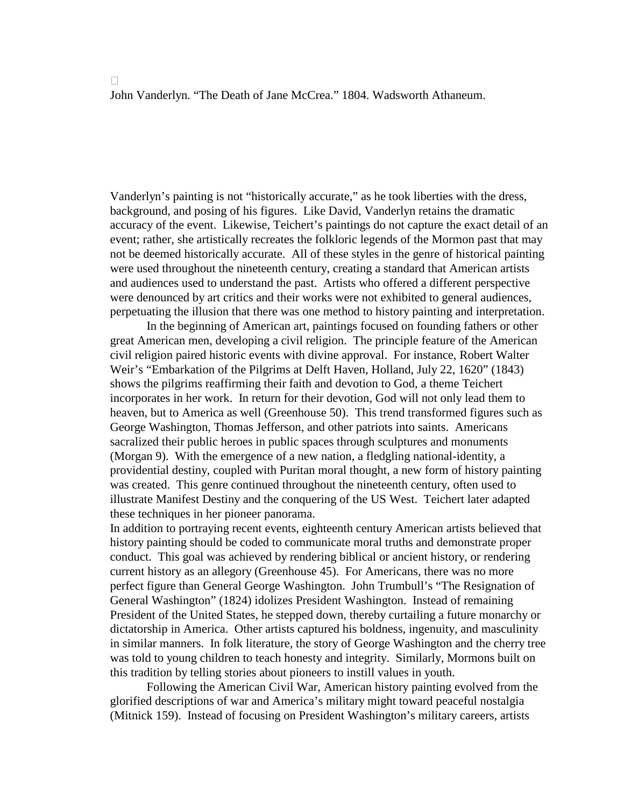John Vanderlyn. "The Death of Jane McCrea." 1804. Wadsworth Athaneum.

Vanderlyn's painting is not "historically accurate," as he took liberties with the dress, background, and posing of his figures. Like David, Vanderlyn retains the dramatic accuracy of the event. Likewise, Teichert's paintings do not capture the exact detail of an event; rather, she artistically recreates the folkloric legends of the Mormon past that may not be deemed historically accurate. All of these styles in the genre of historical painting were used throughout the nineteenth century, creating a standard that American artists and audiences used to understand the past. Artists who offered a different perspective were denounced by art critics and their works were not exhibited to general audiences, perpetuating the illusion that there was one method to history painting and interpretation.

 In the beginning of American art, paintings focused on founding fathers or other great American men, developing a civil religion. The principle feature of the American civil religion paired historic events with divine approval. For instance, Robert Walter Weir's "Embarkation of the Pilgrims at Delft Haven, Holland, July 22, 1620" (1843) shows the pilgrims reaffirming their faith and devotion to God, a theme Teichert incorporates in her work. In return for their devotion, God will not only lead them to heaven, but to America as well (Greenhouse 50). This trend transformed figures such as George Washington, Thomas Jefferson, and other patriots into saints. Americans sacralized their public heroes in public spaces through sculptures and monuments (Morgan 9). With the emergence of a new nation, a fledgling national-identity, a providential destiny, coupled with Puritan moral thought, a new form of history painting was created. This genre continued throughout the nineteenth century, often used to illustrate Manifest Destiny and the conquering of the US West. Teichert later adapted these techniques in her pioneer panorama.

In addition to portraying recent events, eighteenth century American artists believed that history painting should be coded to communicate moral truths and demonstrate proper conduct. This goal was achieved by rendering biblical or ancient history, or rendering current history as an allegory (Greenhouse 45). For Americans, there was no more perfect figure than General George Washington. John Trumbull's "The Resignation of General Washington" (1824) idolizes President Washington. Instead of remaining President of the United States, he stepped down, thereby curtailing a future monarchy or dictatorship in America. Other artists captured his boldness, ingenuity, and masculinity in similar manners. In folk literature, the story of George Washington and the cherry tree was told to young children to teach honesty and integrity. Similarly, Mormons built on this tradition by telling stories about pioneers to instill values in youth.

 Following the American Civil War, American history painting evolved from the glorified descriptions of war and America's military might toward peaceful nostalgia (Mitnick 159). Instead of focusing on President Washington's military careers, artists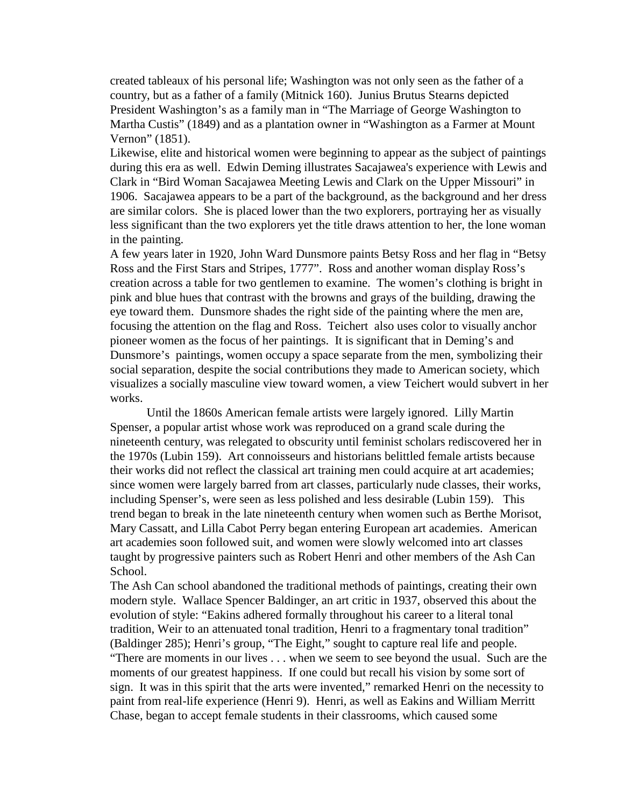created tableaux of his personal life; Washington was not only seen as the father of a country, but as a father of a family (Mitnick 160). Junius Brutus Stearns depicted President Washington's as a family man in "The Marriage of George Washington to Martha Custis" (1849) and as a plantation owner in "Washington as a Farmer at Mount Vernon" (1851).

Likewise, elite and historical women were beginning to appear as the subject of paintings during this era as well. Edwin Deming illustrates Sacajawea's experience with Lewis and Clark in "Bird Woman Sacajawea Meeting Lewis and Clark on the Upper Missouri" in 1906. Sacajawea appears to be a part of the background, as the background and her dress are similar colors. She is placed lower than the two explorers, portraying her as visually less significant than the two explorers yet the title draws attention to her, the lone woman in the painting.

A few years later in 1920, John Ward Dunsmore paints Betsy Ross and her flag in "Betsy Ross and the First Stars and Stripes, 1777". Ross and another woman display Ross's creation across a table for two gentlemen to examine. The women's clothing is bright in pink and blue hues that contrast with the browns and grays of the building, drawing the eye toward them. Dunsmore shades the right side of the painting where the men are, focusing the attention on the flag and Ross. Teichert also uses color to visually anchor pioneer women as the focus of her paintings. It is significant that in Deming's and Dunsmore's paintings, women occupy a space separate from the men, symbolizing their social separation, despite the social contributions they made to American society, which visualizes a socially masculine view toward women, a view Teichert would subvert in her works.

 Until the 1860s American female artists were largely ignored. Lilly Martin Spenser, a popular artist whose work was reproduced on a grand scale during the nineteenth century, was relegated to obscurity until feminist scholars rediscovered her in the 1970s (Lubin 159). Art connoisseurs and historians belittled female artists because their works did not reflect the classical art training men could acquire at art academies; since women were largely barred from art classes, particularly nude classes, their works, including Spenser's, were seen as less polished and less desirable (Lubin 159). This trend began to break in the late nineteenth century when women such as Berthe Morisot, Mary Cassatt, and Lilla Cabot Perry began entering European art academies. American art academies soon followed suit, and women were slowly welcomed into art classes taught by progressive painters such as Robert Henri and other members of the Ash Can School.

The Ash Can school abandoned the traditional methods of paintings, creating their own modern style. Wallace Spencer Baldinger, an art critic in 1937, observed this about the evolution of style: "Eakins adhered formally throughout his career to a literal tonal tradition, Weir to an attenuated tonal tradition, Henri to a fragmentary tonal tradition" (Baldinger 285); Henri's group, "The Eight," sought to capture real life and people. "There are moments in our lives . . . when we seem to see beyond the usual. Such are the moments of our greatest happiness. If one could but recall his vision by some sort of sign. It was in this spirit that the arts were invented," remarked Henri on the necessity to paint from real-life experience (Henri 9). Henri, as well as Eakins and William Merritt Chase, began to accept female students in their classrooms, which caused some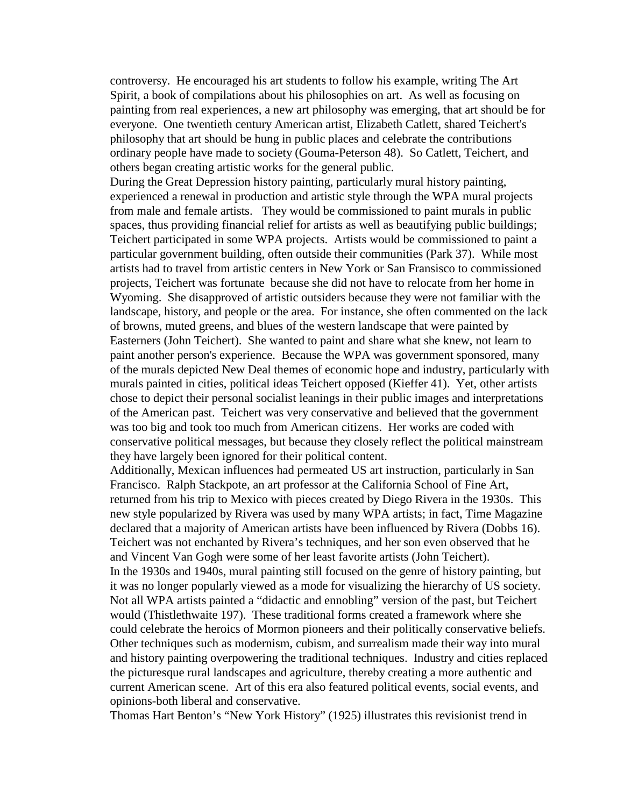controversy. He encouraged his art students to follow his example, writing The Art Spirit, a book of compilations about his philosophies on art. As well as focusing on painting from real experiences, a new art philosophy was emerging, that art should be for everyone. One twentieth century American artist, Elizabeth Catlett, shared Teichert's philosophy that art should be hung in public places and celebrate the contributions ordinary people have made to society (Gouma-Peterson 48). So Catlett, Teichert, and others began creating artistic works for the general public.

During the Great Depression history painting, particularly mural history painting, experienced a renewal in production and artistic style through the WPA mural projects from male and female artists. They would be commissioned to paint murals in public spaces, thus providing financial relief for artists as well as beautifying public buildings; Teichert participated in some WPA projects. Artists would be commissioned to paint a particular government building, often outside their communities (Park 37). While most artists had to travel from artistic centers in New York or San Fransisco to commissioned projects, Teichert was fortunate because she did not have to relocate from her home in Wyoming. She disapproved of artistic outsiders because they were not familiar with the landscape, history, and people or the area. For instance, she often commented on the lack of browns, muted greens, and blues of the western landscape that were painted by Easterners (John Teichert). She wanted to paint and share what she knew, not learn to paint another person's experience. Because the WPA was government sponsored, many of the murals depicted New Deal themes of economic hope and industry, particularly with murals painted in cities, political ideas Teichert opposed (Kieffer 41). Yet, other artists chose to depict their personal socialist leanings in their public images and interpretations of the American past. Teichert was very conservative and believed that the government was too big and took too much from American citizens. Her works are coded with conservative political messages, but because they closely reflect the political mainstream they have largely been ignored for their political content.

Additionally, Mexican influences had permeated US art instruction, particularly in San Francisco. Ralph Stackpote, an art professor at the California School of Fine Art, returned from his trip to Mexico with pieces created by Diego Rivera in the 1930s. This new style popularized by Rivera was used by many WPA artists; in fact, Time Magazine declared that a majority of American artists have been influenced by Rivera (Dobbs 16). Teichert was not enchanted by Rivera's techniques, and her son even observed that he and Vincent Van Gogh were some of her least favorite artists (John Teichert). In the 1930s and 1940s, mural painting still focused on the genre of history painting, but it was no longer popularly viewed as a mode for visualizing the hierarchy of US society. Not all WPA artists painted a "didactic and ennobling" version of the past, but Teichert would (Thistlethwaite 197). These traditional forms created a framework where she could celebrate the heroics of Mormon pioneers and their politically conservative beliefs. Other techniques such as modernism, cubism, and surrealism made their way into mural and history painting overpowering the traditional techniques. Industry and cities replaced the picturesque rural landscapes and agriculture, thereby creating a more authentic and current American scene. Art of this era also featured political events, social events, and opinions-both liberal and conservative.

Thomas Hart Benton's "New York History" (1925) illustrates this revisionist trend in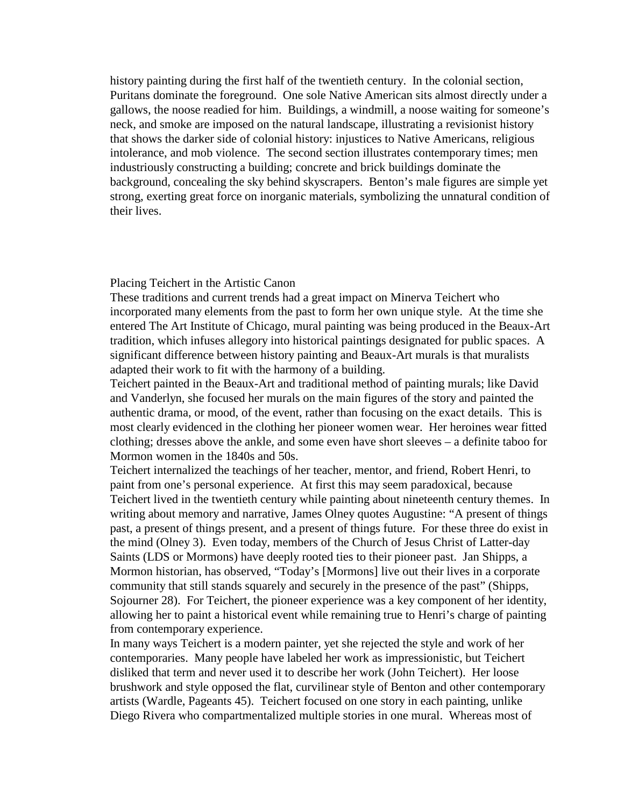history painting during the first half of the twentieth century. In the colonial section, Puritans dominate the foreground. One sole Native American sits almost directly under a gallows, the noose readied for him. Buildings, a windmill, a noose waiting for someone's neck, and smoke are imposed on the natural landscape, illustrating a revisionist history that shows the darker side of colonial history: injustices to Native Americans, religious intolerance, and mob violence. The second section illustrates contemporary times; men industriously constructing a building; concrete and brick buildings dominate the background, concealing the sky behind skyscrapers. Benton's male figures are simple yet strong, exerting great force on inorganic materials, symbolizing the unnatural condition of their lives.

#### Placing Teichert in the Artistic Canon

These traditions and current trends had a great impact on Minerva Teichert who incorporated many elements from the past to form her own unique style. At the time she entered The Art Institute of Chicago, mural painting was being produced in the Beaux-Art tradition, which infuses allegory into historical paintings designated for public spaces. A significant difference between history painting and Beaux-Art murals is that muralists adapted their work to fit with the harmony of a building.

Teichert painted in the Beaux-Art and traditional method of painting murals; like David and Vanderlyn, she focused her murals on the main figures of the story and painted the authentic drama, or mood, of the event, rather than focusing on the exact details. This is most clearly evidenced in the clothing her pioneer women wear. Her heroines wear fitted clothing; dresses above the ankle, and some even have short sleeves – a definite taboo for Mormon women in the 1840s and 50s.

Teichert internalized the teachings of her teacher, mentor, and friend, Robert Henri, to paint from one's personal experience. At first this may seem paradoxical, because Teichert lived in the twentieth century while painting about nineteenth century themes. In writing about memory and narrative, James Olney quotes Augustine: "A present of things past, a present of things present, and a present of things future. For these three do exist in the mind (Olney 3). Even today, members of the Church of Jesus Christ of Latter-day Saints (LDS or Mormons) have deeply rooted ties to their pioneer past. Jan Shipps, a Mormon historian, has observed, "Today's [Mormons] live out their lives in a corporate community that still stands squarely and securely in the presence of the past" (Shipps, Sojourner 28). For Teichert, the pioneer experience was a key component of her identity, allowing her to paint a historical event while remaining true to Henri's charge of painting from contemporary experience.

In many ways Teichert is a modern painter, yet she rejected the style and work of her contemporaries. Many people have labeled her work as impressionistic, but Teichert disliked that term and never used it to describe her work (John Teichert). Her loose brushwork and style opposed the flat, curvilinear style of Benton and other contemporary artists (Wardle, Pageants 45). Teichert focused on one story in each painting, unlike Diego Rivera who compartmentalized multiple stories in one mural. Whereas most of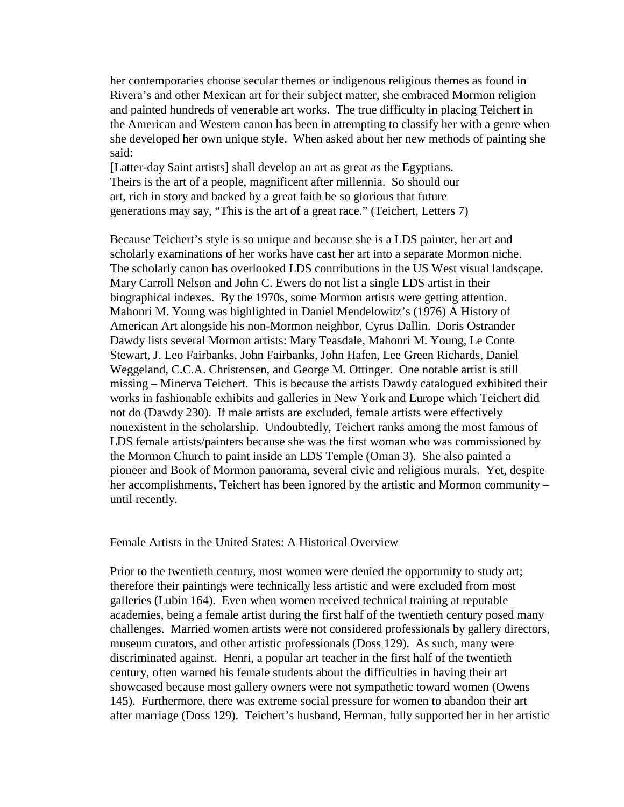her contemporaries choose secular themes or indigenous religious themes as found in Rivera's and other Mexican art for their subject matter, she embraced Mormon religion and painted hundreds of venerable art works. The true difficulty in placing Teichert in the American and Western canon has been in attempting to classify her with a genre when she developed her own unique style. When asked about her new methods of painting she said:

[Latter-day Saint artists] shall develop an art as great as the Egyptians. Theirs is the art of a people, magnificent after millennia. So should our art, rich in story and backed by a great faith be so glorious that future generations may say, "This is the art of a great race." (Teichert, Letters 7)

Because Teichert's style is so unique and because she is a LDS painter, her art and scholarly examinations of her works have cast her art into a separate Mormon niche. The scholarly canon has overlooked LDS contributions in the US West visual landscape. Mary Carroll Nelson and John C. Ewers do not list a single LDS artist in their biographical indexes. By the 1970s, some Mormon artists were getting attention. Mahonri M. Young was highlighted in Daniel Mendelowitz's (1976) A History of American Art alongside his non-Mormon neighbor, Cyrus Dallin. Doris Ostrander Dawdy lists several Mormon artists: Mary Teasdale, Mahonri M. Young, Le Conte Stewart, J. Leo Fairbanks, John Fairbanks, John Hafen, Lee Green Richards, Daniel Weggeland, C.C.A. Christensen, and George M. Ottinger. One notable artist is still missing – Minerva Teichert. This is because the artists Dawdy catalogued exhibited their works in fashionable exhibits and galleries in New York and Europe which Teichert did not do (Dawdy 230). If male artists are excluded, female artists were effectively nonexistent in the scholarship. Undoubtedly, Teichert ranks among the most famous of LDS female artists/painters because she was the first woman who was commissioned by the Mormon Church to paint inside an LDS Temple (Oman 3). She also painted a pioneer and Book of Mormon panorama, several civic and religious murals. Yet, despite her accomplishments, Teichert has been ignored by the artistic and Mormon community – until recently.

Female Artists in the United States: A Historical Overview

Prior to the twentieth century, most women were denied the opportunity to study art; therefore their paintings were technically less artistic and were excluded from most galleries (Lubin 164). Even when women received technical training at reputable academies, being a female artist during the first half of the twentieth century posed many challenges. Married women artists were not considered professionals by gallery directors, museum curators, and other artistic professionals (Doss 129). As such, many were discriminated against. Henri, a popular art teacher in the first half of the twentieth century, often warned his female students about the difficulties in having their art showcased because most gallery owners were not sympathetic toward women (Owens 145). Furthermore, there was extreme social pressure for women to abandon their art after marriage (Doss 129). Teichert's husband, Herman, fully supported her in her artistic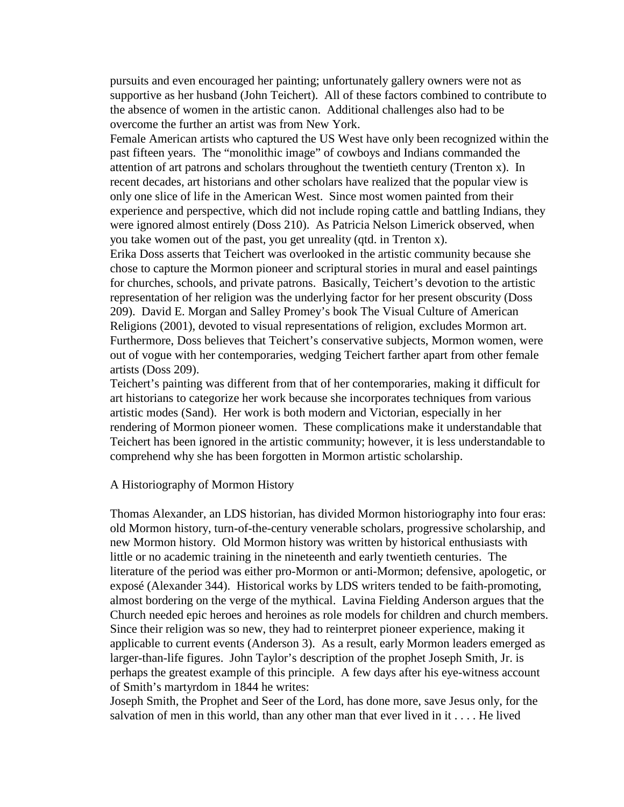pursuits and even encouraged her painting; unfortunately gallery owners were not as supportive as her husband (John Teichert). All of these factors combined to contribute to the absence of women in the artistic canon. Additional challenges also had to be overcome the further an artist was from New York.

Female American artists who captured the US West have only been recognized within the past fifteen years. The "monolithic image" of cowboys and Indians commanded the attention of art patrons and scholars throughout the twentieth century (Trenton x). In recent decades, art historians and other scholars have realized that the popular view is only one slice of life in the American West. Since most women painted from their experience and perspective, which did not include roping cattle and battling Indians, they were ignored almost entirely (Doss 210). As Patricia Nelson Limerick observed, when you take women out of the past, you get unreality (qtd. in Trenton x).

Erika Doss asserts that Teichert was overlooked in the artistic community because she chose to capture the Mormon pioneer and scriptural stories in mural and easel paintings for churches, schools, and private patrons. Basically, Teichert's devotion to the artistic representation of her religion was the underlying factor for her present obscurity (Doss 209). David E. Morgan and Salley Promey's book The Visual Culture of American Religions (2001), devoted to visual representations of religion, excludes Mormon art. Furthermore, Doss believes that Teichert's conservative subjects, Mormon women, were out of vogue with her contemporaries, wedging Teichert farther apart from other female artists (Doss 209).

Teichert's painting was different from that of her contemporaries, making it difficult for art historians to categorize her work because she incorporates techniques from various artistic modes (Sand). Her work is both modern and Victorian, especially in her rendering of Mormon pioneer women. These complications make it understandable that Teichert has been ignored in the artistic community; however, it is less understandable to comprehend why she has been forgotten in Mormon artistic scholarship.

#### A Historiography of Mormon History

Thomas Alexander, an LDS historian, has divided Mormon historiography into four eras: old Mormon history, turn-of-the-century venerable scholars, progressive scholarship, and new Mormon history. Old Mormon history was written by historical enthusiasts with little or no academic training in the nineteenth and early twentieth centuries. The literature of the period was either pro-Mormon or anti-Mormon; defensive, apologetic, or exposé (Alexander 344). Historical works by LDS writers tended to be faith-promoting, almost bordering on the verge of the mythical. Lavina Fielding Anderson argues that the Church needed epic heroes and heroines as role models for children and church members. Since their religion was so new, they had to reinterpret pioneer experience, making it applicable to current events (Anderson 3). As a result, early Mormon leaders emerged as larger-than-life figures. John Taylor's description of the prophet Joseph Smith, Jr. is perhaps the greatest example of this principle. A few days after his eye-witness account of Smith's martyrdom in 1844 he writes:

Joseph Smith, the Prophet and Seer of the Lord, has done more, save Jesus only, for the salvation of men in this world, than any other man that ever lived in it . . . . He lived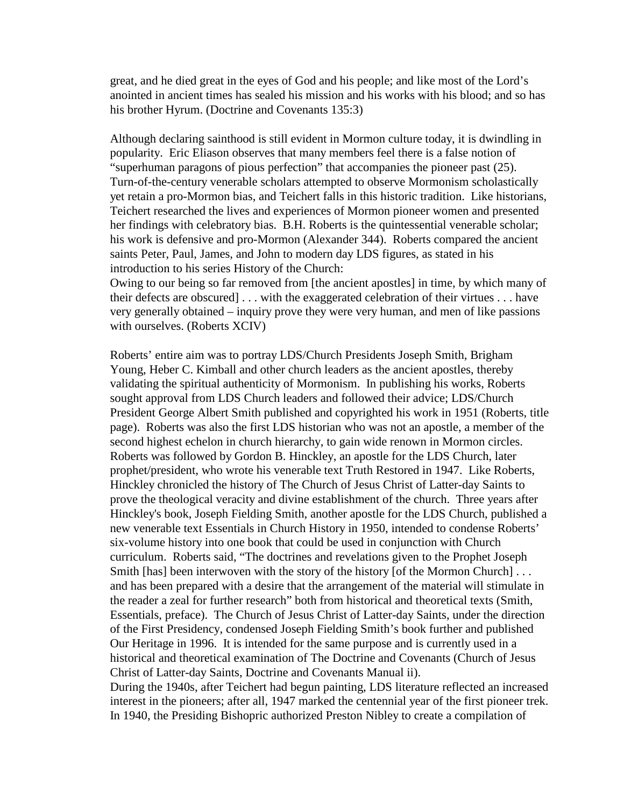great, and he died great in the eyes of God and his people; and like most of the Lord's anointed in ancient times has sealed his mission and his works with his blood; and so has his brother Hyrum. (Doctrine and Covenants 135:3)

Although declaring sainthood is still evident in Mormon culture today, it is dwindling in popularity. Eric Eliason observes that many members feel there is a false notion of "superhuman paragons of pious perfection" that accompanies the pioneer past (25). Turn-of-the-century venerable scholars attempted to observe Mormonism scholastically yet retain a pro-Mormon bias, and Teichert falls in this historic tradition. Like historians, Teichert researched the lives and experiences of Mormon pioneer women and presented her findings with celebratory bias. B.H. Roberts is the quintessential venerable scholar; his work is defensive and pro-Mormon (Alexander 344). Roberts compared the ancient saints Peter, Paul, James, and John to modern day LDS figures, as stated in his introduction to his series History of the Church:

Owing to our being so far removed from [the ancient apostles] in time, by which many of their defects are obscured] . . . with the exaggerated celebration of their virtues . . . have very generally obtained – inquiry prove they were very human, and men of like passions with ourselves. (Roberts XCIV)

Roberts' entire aim was to portray LDS/Church Presidents Joseph Smith, Brigham Young, Heber C. Kimball and other church leaders as the ancient apostles, thereby validating the spiritual authenticity of Mormonism. In publishing his works, Roberts sought approval from LDS Church leaders and followed their advice; LDS/Church President George Albert Smith published and copyrighted his work in 1951 (Roberts, title page). Roberts was also the first LDS historian who was not an apostle, a member of the second highest echelon in church hierarchy, to gain wide renown in Mormon circles. Roberts was followed by Gordon B. Hinckley, an apostle for the LDS Church, later prophet/president, who wrote his venerable text Truth Restored in 1947. Like Roberts, Hinckley chronicled the history of The Church of Jesus Christ of Latter-day Saints to prove the theological veracity and divine establishment of the church. Three years after Hinckley's book, Joseph Fielding Smith, another apostle for the LDS Church, published a new venerable text Essentials in Church History in 1950, intended to condense Roberts' six-volume history into one book that could be used in conjunction with Church curriculum. Roberts said, "The doctrines and revelations given to the Prophet Joseph Smith [has] been interwoven with the story of the history [of the Mormon Church] ... and has been prepared with a desire that the arrangement of the material will stimulate in the reader a zeal for further research" both from historical and theoretical texts (Smith, Essentials, preface). The Church of Jesus Christ of Latter-day Saints, under the direction of the First Presidency, condensed Joseph Fielding Smith's book further and published Our Heritage in 1996. It is intended for the same purpose and is currently used in a historical and theoretical examination of The Doctrine and Covenants (Church of Jesus Christ of Latter-day Saints, Doctrine and Covenants Manual ii).

During the 1940s, after Teichert had begun painting, LDS literature reflected an increased interest in the pioneers; after all, 1947 marked the centennial year of the first pioneer trek. In 1940, the Presiding Bishopric authorized Preston Nibley to create a compilation of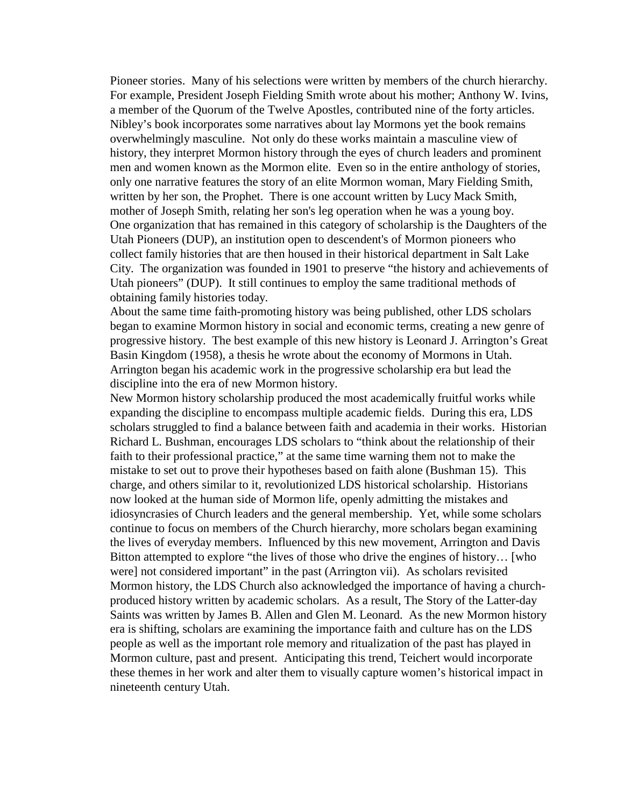Pioneer stories. Many of his selections were written by members of the church hierarchy. For example, President Joseph Fielding Smith wrote about his mother; Anthony W. Ivins, a member of the Quorum of the Twelve Apostles, contributed nine of the forty articles. Nibley's book incorporates some narratives about lay Mormons yet the book remains overwhelmingly masculine. Not only do these works maintain a masculine view of history, they interpret Mormon history through the eyes of church leaders and prominent men and women known as the Mormon elite. Even so in the entire anthology of stories, only one narrative features the story of an elite Mormon woman, Mary Fielding Smith, written by her son, the Prophet. There is one account written by Lucy Mack Smith, mother of Joseph Smith, relating her son's leg operation when he was a young boy. One organization that has remained in this category of scholarship is the Daughters of the Utah Pioneers (DUP), an institution open to descendent's of Mormon pioneers who collect family histories that are then housed in their historical department in Salt Lake City. The organization was founded in 1901 to preserve "the history and achievements of Utah pioneers" (DUP). It still continues to employ the same traditional methods of obtaining family histories today.

About the same time faith-promoting history was being published, other LDS scholars began to examine Mormon history in social and economic terms, creating a new genre of progressive history. The best example of this new history is Leonard J. Arrington's Great Basin Kingdom (1958), a thesis he wrote about the economy of Mormons in Utah. Arrington began his academic work in the progressive scholarship era but lead the discipline into the era of new Mormon history.

New Mormon history scholarship produced the most academically fruitful works while expanding the discipline to encompass multiple academic fields. During this era, LDS scholars struggled to find a balance between faith and academia in their works. Historian Richard L. Bushman, encourages LDS scholars to "think about the relationship of their faith to their professional practice," at the same time warning them not to make the mistake to set out to prove their hypotheses based on faith alone (Bushman 15). This charge, and others similar to it, revolutionized LDS historical scholarship. Historians now looked at the human side of Mormon life, openly admitting the mistakes and idiosyncrasies of Church leaders and the general membership. Yet, while some scholars continue to focus on members of the Church hierarchy, more scholars began examining the lives of everyday members. Influenced by this new movement, Arrington and Davis Bitton attempted to explore "the lives of those who drive the engines of history… [who were] not considered important" in the past (Arrington vii). As scholars revisited Mormon history, the LDS Church also acknowledged the importance of having a churchproduced history written by academic scholars. As a result, The Story of the Latter-day Saints was written by James B. Allen and Glen M. Leonard. As the new Mormon history era is shifting, scholars are examining the importance faith and culture has on the LDS people as well as the important role memory and ritualization of the past has played in Mormon culture, past and present. Anticipating this trend, Teichert would incorporate these themes in her work and alter them to visually capture women's historical impact in nineteenth century Utah.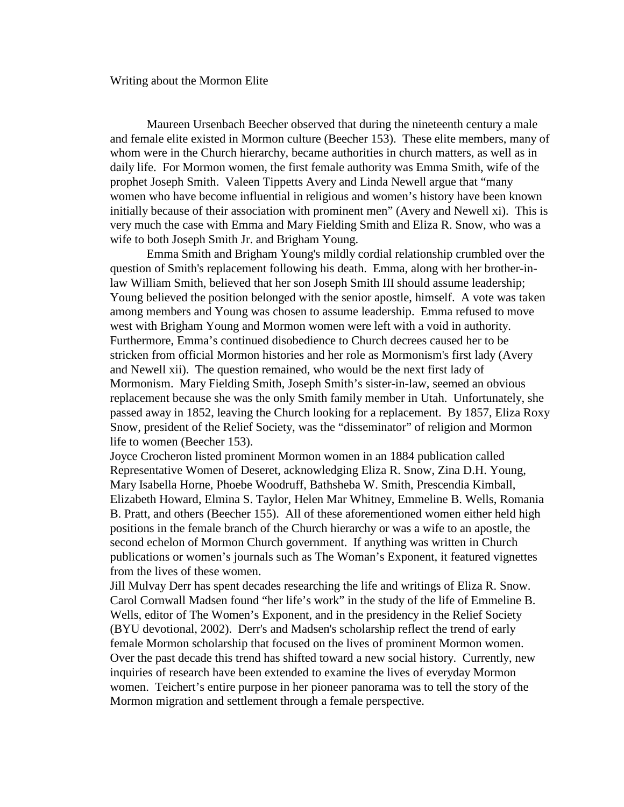#### Writing about the Mormon Elite

 Maureen Ursenbach Beecher observed that during the nineteenth century a male and female elite existed in Mormon culture (Beecher 153). These elite members, many of whom were in the Church hierarchy, became authorities in church matters, as well as in daily life. For Mormon women, the first female authority was Emma Smith, wife of the prophet Joseph Smith. Valeen Tippetts Avery and Linda Newell argue that "many women who have become influential in religious and women's history have been known initially because of their association with prominent men" (Avery and Newell xi). This is very much the case with Emma and Mary Fielding Smith and Eliza R. Snow, who was a wife to both Joseph Smith Jr. and Brigham Young.

 Emma Smith and Brigham Young's mildly cordial relationship crumbled over the question of Smith's replacement following his death. Emma, along with her brother-inlaw William Smith, believed that her son Joseph Smith III should assume leadership; Young believed the position belonged with the senior apostle, himself. A vote was taken among members and Young was chosen to assume leadership. Emma refused to move west with Brigham Young and Mormon women were left with a void in authority. Furthermore, Emma's continued disobedience to Church decrees caused her to be stricken from official Mormon histories and her role as Mormonism's first lady (Avery and Newell xii). The question remained, who would be the next first lady of Mormonism. Mary Fielding Smith, Joseph Smith's sister-in-law, seemed an obvious replacement because she was the only Smith family member in Utah. Unfortunately, she passed away in 1852, leaving the Church looking for a replacement. By 1857, Eliza Roxy Snow, president of the Relief Society, was the "disseminator" of religion and Mormon life to women (Beecher 153).

Joyce Crocheron listed prominent Mormon women in an 1884 publication called Representative Women of Deseret, acknowledging Eliza R. Snow, Zina D.H. Young, Mary Isabella Horne, Phoebe Woodruff, Bathsheba W. Smith, Prescendia Kimball, Elizabeth Howard, Elmina S. Taylor, Helen Mar Whitney, Emmeline B. Wells, Romania B. Pratt, and others (Beecher 155). All of these aforementioned women either held high positions in the female branch of the Church hierarchy or was a wife to an apostle, the second echelon of Mormon Church government. If anything was written in Church publications or women's journals such as The Woman's Exponent, it featured vignettes from the lives of these women.

Jill Mulvay Derr has spent decades researching the life and writings of Eliza R. Snow. Carol Cornwall Madsen found "her life's work" in the study of the life of Emmeline B. Wells, editor of The Women's Exponent, and in the presidency in the Relief Society (BYU devotional, 2002). Derr's and Madsen's scholarship reflect the trend of early female Mormon scholarship that focused on the lives of prominent Mormon women. Over the past decade this trend has shifted toward a new social history. Currently, new inquiries of research have been extended to examine the lives of everyday Mormon women. Teichert's entire purpose in her pioneer panorama was to tell the story of the Mormon migration and settlement through a female perspective.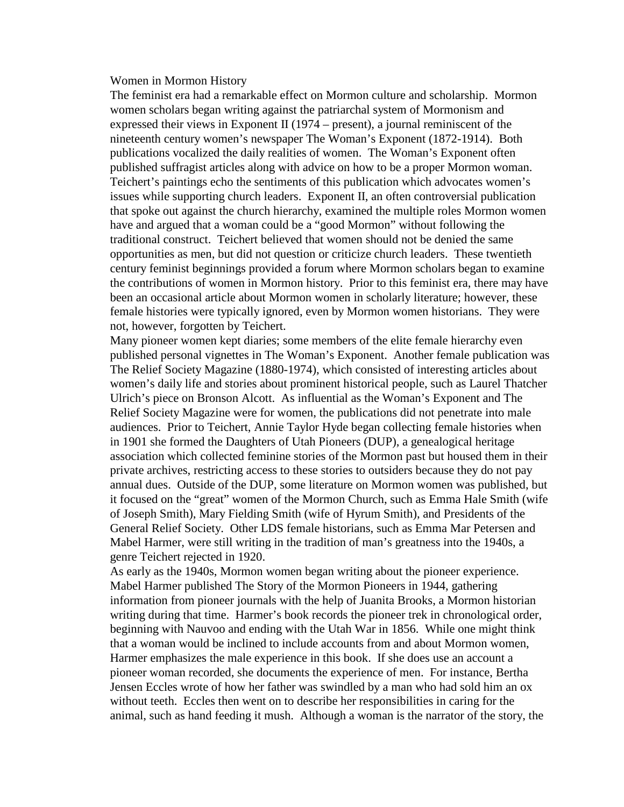#### Women in Mormon History

The feminist era had a remarkable effect on Mormon culture and scholarship. Mormon women scholars began writing against the patriarchal system of Mormonism and expressed their views in Exponent II (1974 – present), a journal reminiscent of the nineteenth century women's newspaper The Woman's Exponent (1872-1914). Both publications vocalized the daily realities of women. The Woman's Exponent often published suffragist articles along with advice on how to be a proper Mormon woman. Teichert's paintings echo the sentiments of this publication which advocates women's issues while supporting church leaders. Exponent II, an often controversial publication that spoke out against the church hierarchy, examined the multiple roles Mormon women have and argued that a woman could be a "good Mormon" without following the traditional construct. Teichert believed that women should not be denied the same opportunities as men, but did not question or criticize church leaders. These twentieth century feminist beginnings provided a forum where Mormon scholars began to examine the contributions of women in Mormon history. Prior to this feminist era, there may have been an occasional article about Mormon women in scholarly literature; however, these female histories were typically ignored, even by Mormon women historians. They were not, however, forgotten by Teichert.

Many pioneer women kept diaries; some members of the elite female hierarchy even published personal vignettes in The Woman's Exponent. Another female publication was The Relief Society Magazine (1880-1974), which consisted of interesting articles about women's daily life and stories about prominent historical people, such as Laurel Thatcher Ulrich's piece on Bronson Alcott. As influential as the Woman's Exponent and The Relief Society Magazine were for women, the publications did not penetrate into male audiences. Prior to Teichert, Annie Taylor Hyde began collecting female histories when in 1901 she formed the Daughters of Utah Pioneers (DUP), a genealogical heritage association which collected feminine stories of the Mormon past but housed them in their private archives, restricting access to these stories to outsiders because they do not pay annual dues. Outside of the DUP, some literature on Mormon women was published, but it focused on the "great" women of the Mormon Church, such as Emma Hale Smith (wife of Joseph Smith), Mary Fielding Smith (wife of Hyrum Smith), and Presidents of the General Relief Society. Other LDS female historians, such as Emma Mar Petersen and Mabel Harmer, were still writing in the tradition of man's greatness into the 1940s, a genre Teichert rejected in 1920.

As early as the 1940s, Mormon women began writing about the pioneer experience. Mabel Harmer published The Story of the Mormon Pioneers in 1944, gathering information from pioneer journals with the help of Juanita Brooks, a Mormon historian writing during that time. Harmer's book records the pioneer trek in chronological order, beginning with Nauvoo and ending with the Utah War in 1856. While one might think that a woman would be inclined to include accounts from and about Mormon women, Harmer emphasizes the male experience in this book. If she does use an account a pioneer woman recorded, she documents the experience of men. For instance, Bertha Jensen Eccles wrote of how her father was swindled by a man who had sold him an ox without teeth. Eccles then went on to describe her responsibilities in caring for the animal, such as hand feeding it mush. Although a woman is the narrator of the story, the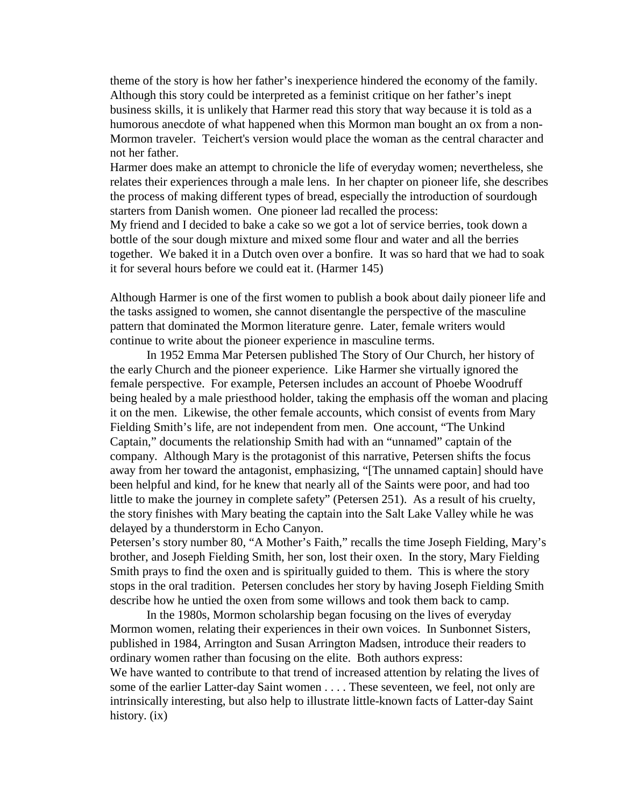theme of the story is how her father's inexperience hindered the economy of the family. Although this story could be interpreted as a feminist critique on her father's inept business skills, it is unlikely that Harmer read this story that way because it is told as a humorous anecdote of what happened when this Mormon man bought an ox from a non-Mormon traveler. Teichert's version would place the woman as the central character and not her father.

Harmer does make an attempt to chronicle the life of everyday women; nevertheless, she relates their experiences through a male lens. In her chapter on pioneer life, she describes the process of making different types of bread, especially the introduction of sourdough starters from Danish women. One pioneer lad recalled the process:

My friend and I decided to bake a cake so we got a lot of service berries, took down a bottle of the sour dough mixture and mixed some flour and water and all the berries together. We baked it in a Dutch oven over a bonfire. It was so hard that we had to soak it for several hours before we could eat it. (Harmer 145)

Although Harmer is one of the first women to publish a book about daily pioneer life and the tasks assigned to women, she cannot disentangle the perspective of the masculine pattern that dominated the Mormon literature genre. Later, female writers would continue to write about the pioneer experience in masculine terms.

 In 1952 Emma Mar Petersen published The Story of Our Church, her history of the early Church and the pioneer experience. Like Harmer she virtually ignored the female perspective. For example, Petersen includes an account of Phoebe Woodruff being healed by a male priesthood holder, taking the emphasis off the woman and placing it on the men. Likewise, the other female accounts, which consist of events from Mary Fielding Smith's life, are not independent from men. One account, "The Unkind Captain," documents the relationship Smith had with an "unnamed" captain of the company. Although Mary is the protagonist of this narrative, Petersen shifts the focus away from her toward the antagonist, emphasizing, "[The unnamed captain] should have been helpful and kind, for he knew that nearly all of the Saints were poor, and had too little to make the journey in complete safety" (Petersen 251). As a result of his cruelty, the story finishes with Mary beating the captain into the Salt Lake Valley while he was delayed by a thunderstorm in Echo Canyon.

Petersen's story number 80, "A Mother's Faith," recalls the time Joseph Fielding, Mary's brother, and Joseph Fielding Smith, her son, lost their oxen. In the story, Mary Fielding Smith prays to find the oxen and is spiritually guided to them. This is where the story stops in the oral tradition. Petersen concludes her story by having Joseph Fielding Smith describe how he untied the oxen from some willows and took them back to camp.

 In the 1980s, Mormon scholarship began focusing on the lives of everyday Mormon women, relating their experiences in their own voices. In Sunbonnet Sisters, published in 1984, Arrington and Susan Arrington Madsen, introduce their readers to ordinary women rather than focusing on the elite. Both authors express: We have wanted to contribute to that trend of increased attention by relating the lives of some of the earlier Latter-day Saint women . . . . These seventeen, we feel, not only are intrinsically interesting, but also help to illustrate little-known facts of Latter-day Saint history. (ix)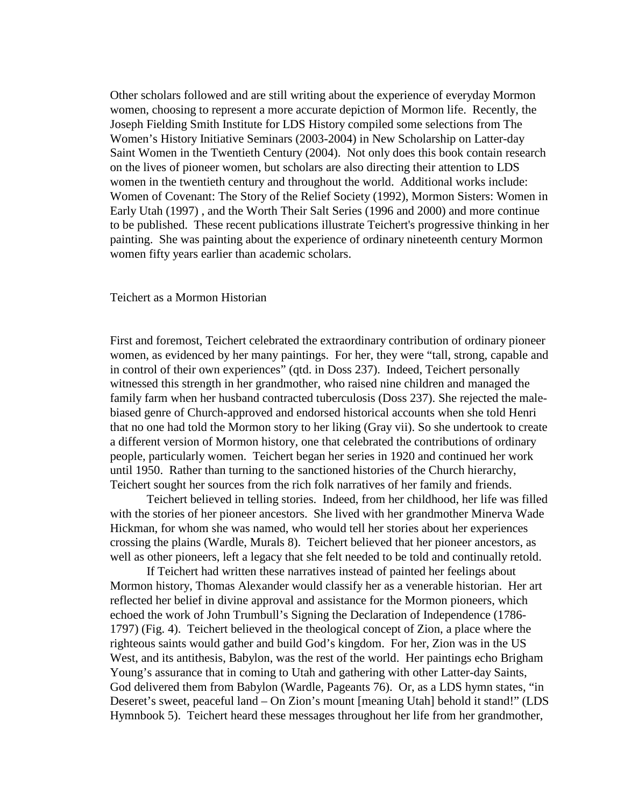Other scholars followed and are still writing about the experience of everyday Mormon women, choosing to represent a more accurate depiction of Mormon life. Recently, the Joseph Fielding Smith Institute for LDS History compiled some selections from The Women's History Initiative Seminars (2003-2004) in New Scholarship on Latter-day Saint Women in the Twentieth Century (2004). Not only does this book contain research on the lives of pioneer women, but scholars are also directing their attention to LDS women in the twentieth century and throughout the world. Additional works include: Women of Covenant: The Story of the Relief Society (1992), Mormon Sisters: Women in Early Utah (1997) , and the Worth Their Salt Series (1996 and 2000) and more continue to be published. These recent publications illustrate Teichert's progressive thinking in her painting. She was painting about the experience of ordinary nineteenth century Mormon women fifty years earlier than academic scholars.

Teichert as a Mormon Historian

First and foremost, Teichert celebrated the extraordinary contribution of ordinary pioneer women, as evidenced by her many paintings. For her, they were "tall, strong, capable and in control of their own experiences" (qtd. in Doss 237). Indeed, Teichert personally witnessed this strength in her grandmother, who raised nine children and managed the family farm when her husband contracted tuberculosis (Doss 237). She rejected the malebiased genre of Church-approved and endorsed historical accounts when she told Henri that no one had told the Mormon story to her liking (Gray vii). So she undertook to create a different version of Mormon history, one that celebrated the contributions of ordinary people, particularly women. Teichert began her series in 1920 and continued her work until 1950. Rather than turning to the sanctioned histories of the Church hierarchy, Teichert sought her sources from the rich folk narratives of her family and friends.

 Teichert believed in telling stories. Indeed, from her childhood, her life was filled with the stories of her pioneer ancestors. She lived with her grandmother Minerva Wade Hickman, for whom she was named, who would tell her stories about her experiences crossing the plains (Wardle, Murals 8). Teichert believed that her pioneer ancestors, as well as other pioneers, left a legacy that she felt needed to be told and continually retold.

 If Teichert had written these narratives instead of painted her feelings about Mormon history, Thomas Alexander would classify her as a venerable historian. Her art reflected her belief in divine approval and assistance for the Mormon pioneers, which echoed the work of John Trumbull's Signing the Declaration of Independence (1786- 1797) (Fig. 4). Teichert believed in the theological concept of Zion, a place where the righteous saints would gather and build God's kingdom. For her, Zion was in the US West, and its antithesis, Babylon, was the rest of the world. Her paintings echo Brigham Young's assurance that in coming to Utah and gathering with other Latter-day Saints, God delivered them from Babylon (Wardle, Pageants 76). Or, as a LDS hymn states, "in Deseret's sweet, peaceful land – On Zion's mount [meaning Utah] behold it stand!" (LDS Hymnbook 5). Teichert heard these messages throughout her life from her grandmother,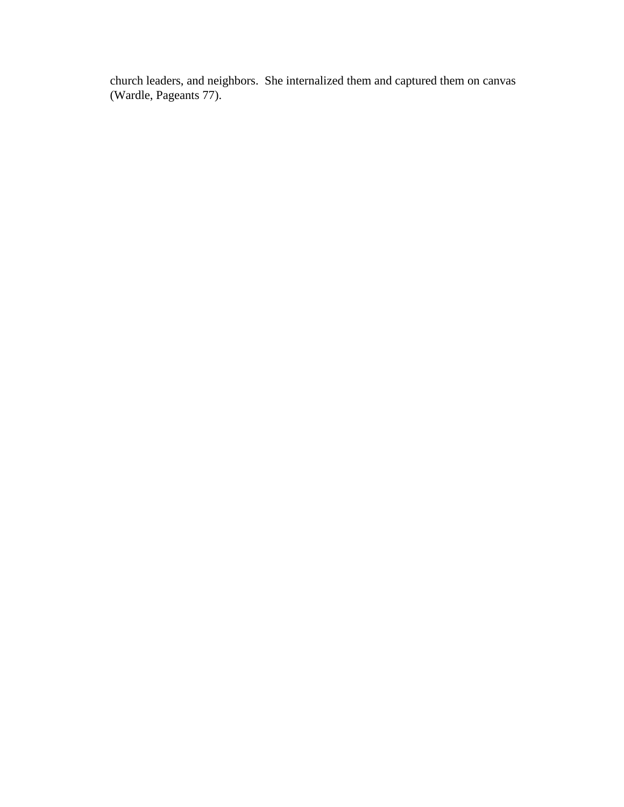church leaders, and neighbors. She internalized them and captured them on canvas (Wardle, Pageants 77).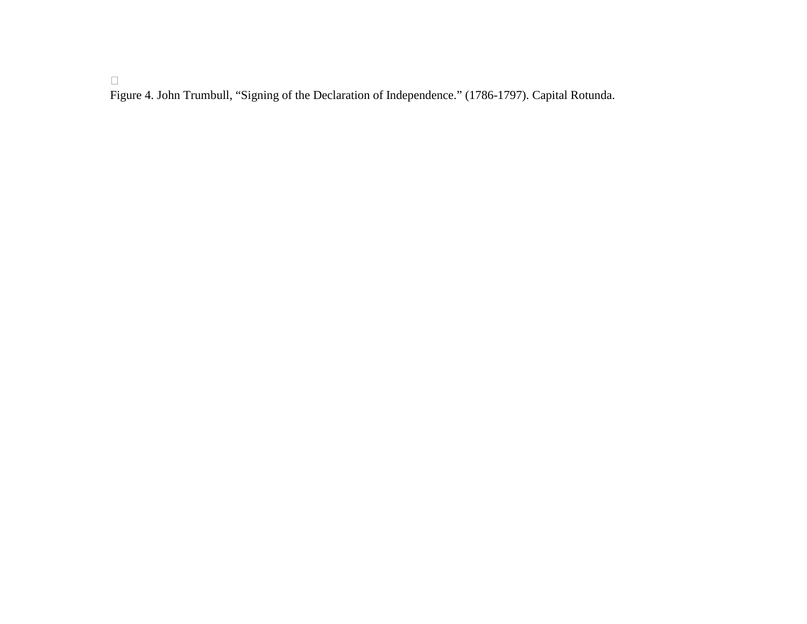Figure 4. John Trumbull, "Signing of the Declaration of Independence." (1786-1797). Capital Rotunda.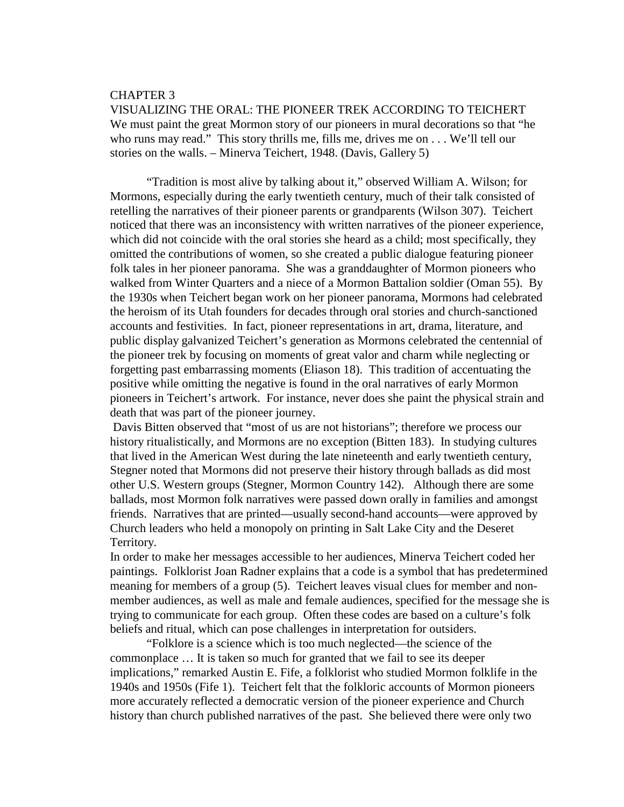#### CHAPTER 3

VISUALIZING THE ORAL: THE PIONEER TREK ACCORDING TO TEICHERT We must paint the great Mormon story of our pioneers in mural decorations so that "he who runs may read." This story thrills me, fills me, drives me on . . . We'll tell our stories on the walls. – Minerva Teichert, 1948. (Davis, Gallery 5)

 "Tradition is most alive by talking about it," observed William A. Wilson; for Mormons, especially during the early twentieth century, much of their talk consisted of retelling the narratives of their pioneer parents or grandparents (Wilson 307). Teichert noticed that there was an inconsistency with written narratives of the pioneer experience, which did not coincide with the oral stories she heard as a child; most specifically, they omitted the contributions of women, so she created a public dialogue featuring pioneer folk tales in her pioneer panorama. She was a granddaughter of Mormon pioneers who walked from Winter Quarters and a niece of a Mormon Battalion soldier (Oman 55). By the 1930s when Teichert began work on her pioneer panorama, Mormons had celebrated the heroism of its Utah founders for decades through oral stories and church-sanctioned accounts and festivities. In fact, pioneer representations in art, drama, literature, and public display galvanized Teichert's generation as Mormons celebrated the centennial of the pioneer trek by focusing on moments of great valor and charm while neglecting or forgetting past embarrassing moments (Eliason 18). This tradition of accentuating the positive while omitting the negative is found in the oral narratives of early Mormon pioneers in Teichert's artwork. For instance, never does she paint the physical strain and death that was part of the pioneer journey.

 Davis Bitten observed that "most of us are not historians"; therefore we process our history ritualistically, and Mormons are no exception (Bitten 183). In studying cultures that lived in the American West during the late nineteenth and early twentieth century, Stegner noted that Mormons did not preserve their history through ballads as did most other U.S. Western groups (Stegner, Mormon Country 142). Although there are some ballads, most Mormon folk narratives were passed down orally in families and amongst friends. Narratives that are printed—usually second-hand accounts—were approved by Church leaders who held a monopoly on printing in Salt Lake City and the Deseret Territory.

In order to make her messages accessible to her audiences, Minerva Teichert coded her paintings. Folklorist Joan Radner explains that a code is a symbol that has predetermined meaning for members of a group (5). Teichert leaves visual clues for member and nonmember audiences, as well as male and female audiences, specified for the message she is trying to communicate for each group. Often these codes are based on a culture's folk beliefs and ritual, which can pose challenges in interpretation for outsiders.

 "Folklore is a science which is too much neglected—the science of the commonplace … It is taken so much for granted that we fail to see its deeper implications," remarked Austin E. Fife, a folklorist who studied Mormon folklife in the 1940s and 1950s (Fife 1). Teichert felt that the folkloric accounts of Mormon pioneers more accurately reflected a democratic version of the pioneer experience and Church history than church published narratives of the past. She believed there were only two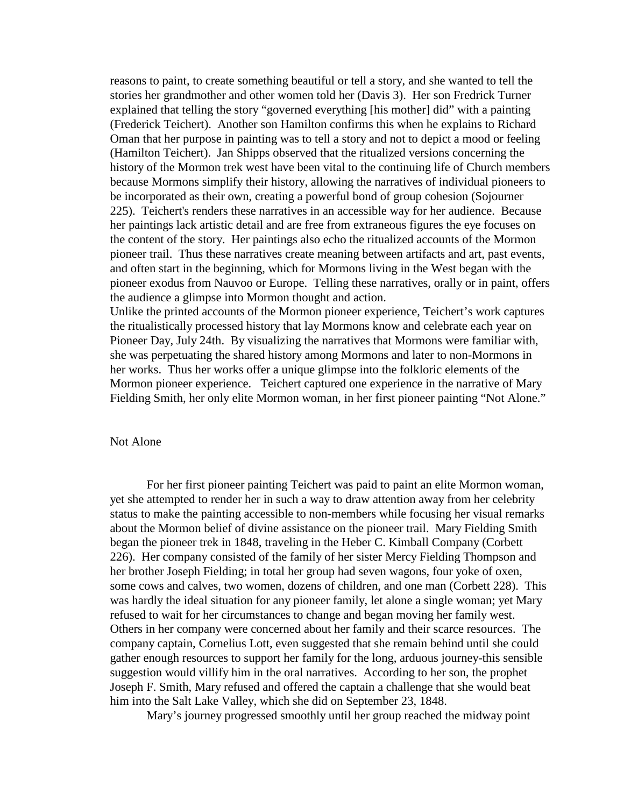reasons to paint, to create something beautiful or tell a story, and she wanted to tell the stories her grandmother and other women told her (Davis 3). Her son Fredrick Turner explained that telling the story "governed everything [his mother] did" with a painting (Frederick Teichert). Another son Hamilton confirms this when he explains to Richard Oman that her purpose in painting was to tell a story and not to depict a mood or feeling (Hamilton Teichert). Jan Shipps observed that the ritualized versions concerning the history of the Mormon trek west have been vital to the continuing life of Church members because Mormons simplify their history, allowing the narratives of individual pioneers to be incorporated as their own, creating a powerful bond of group cohesion (Sojourner 225). Teichert's renders these narratives in an accessible way for her audience. Because her paintings lack artistic detail and are free from extraneous figures the eye focuses on the content of the story. Her paintings also echo the ritualized accounts of the Mormon pioneer trail. Thus these narratives create meaning between artifacts and art, past events, and often start in the beginning, which for Mormons living in the West began with the pioneer exodus from Nauvoo or Europe. Telling these narratives, orally or in paint, offers the audience a glimpse into Mormon thought and action.

Unlike the printed accounts of the Mormon pioneer experience, Teichert's work captures the ritualistically processed history that lay Mormons know and celebrate each year on Pioneer Day, July 24th. By visualizing the narratives that Mormons were familiar with, she was perpetuating the shared history among Mormons and later to non-Mormons in her works. Thus her works offer a unique glimpse into the folkloric elements of the Mormon pioneer experience. Teichert captured one experience in the narrative of Mary Fielding Smith, her only elite Mormon woman, in her first pioneer painting "Not Alone."

#### Not Alone

 For her first pioneer painting Teichert was paid to paint an elite Mormon woman, yet she attempted to render her in such a way to draw attention away from her celebrity status to make the painting accessible to non-members while focusing her visual remarks about the Mormon belief of divine assistance on the pioneer trail. Mary Fielding Smith began the pioneer trek in 1848, traveling in the Heber C. Kimball Company (Corbett 226). Her company consisted of the family of her sister Mercy Fielding Thompson and her brother Joseph Fielding; in total her group had seven wagons, four yoke of oxen, some cows and calves, two women, dozens of children, and one man (Corbett 228). This was hardly the ideal situation for any pioneer family, let alone a single woman; yet Mary refused to wait for her circumstances to change and began moving her family west. Others in her company were concerned about her family and their scarce resources. The company captain, Cornelius Lott, even suggested that she remain behind until she could gather enough resources to support her family for the long, arduous journey-this sensible suggestion would villify him in the oral narratives. According to her son, the prophet Joseph F. Smith, Mary refused and offered the captain a challenge that she would beat him into the Salt Lake Valley, which she did on September 23, 1848.

Mary's journey progressed smoothly until her group reached the midway point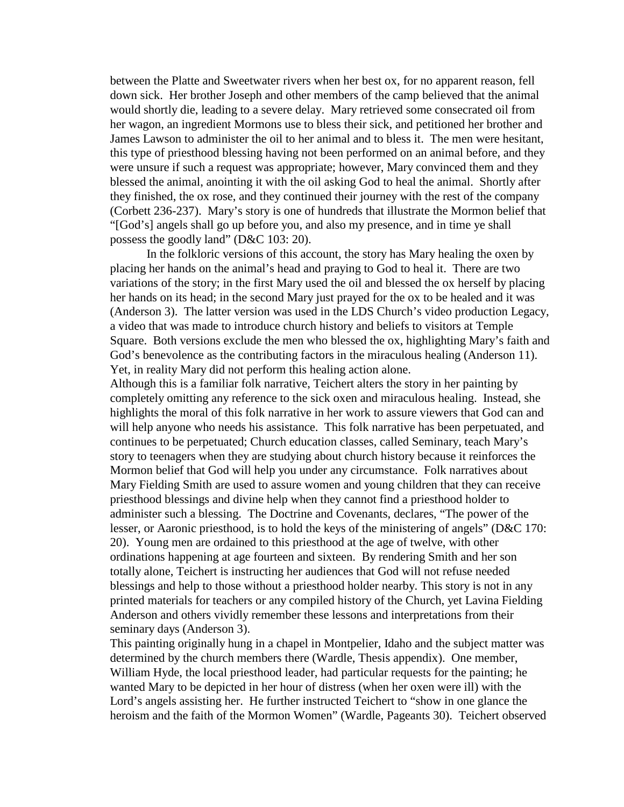between the Platte and Sweetwater rivers when her best ox, for no apparent reason, fell down sick. Her brother Joseph and other members of the camp believed that the animal would shortly die, leading to a severe delay. Mary retrieved some consecrated oil from her wagon, an ingredient Mormons use to bless their sick, and petitioned her brother and James Lawson to administer the oil to her animal and to bless it. The men were hesitant, this type of priesthood blessing having not been performed on an animal before, and they were unsure if such a request was appropriate; however, Mary convinced them and they blessed the animal, anointing it with the oil asking God to heal the animal. Shortly after they finished, the ox rose, and they continued their journey with the rest of the company (Corbett 236-237). Mary's story is one of hundreds that illustrate the Mormon belief that "[God's] angels shall go up before you, and also my presence, and in time ye shall possess the goodly land" (D&C 103: 20).

 In the folkloric versions of this account, the story has Mary healing the oxen by placing her hands on the animal's head and praying to God to heal it. There are two variations of the story; in the first Mary used the oil and blessed the ox herself by placing her hands on its head; in the second Mary just prayed for the ox to be healed and it was (Anderson 3). The latter version was used in the LDS Church's video production Legacy, a video that was made to introduce church history and beliefs to visitors at Temple Square. Both versions exclude the men who blessed the ox, highlighting Mary's faith and God's benevolence as the contributing factors in the miraculous healing (Anderson 11). Yet, in reality Mary did not perform this healing action alone.

Although this is a familiar folk narrative, Teichert alters the story in her painting by completely omitting any reference to the sick oxen and miraculous healing. Instead, she highlights the moral of this folk narrative in her work to assure viewers that God can and will help anyone who needs his assistance. This folk narrative has been perpetuated, and continues to be perpetuated; Church education classes, called Seminary, teach Mary's story to teenagers when they are studying about church history because it reinforces the Mormon belief that God will help you under any circumstance. Folk narratives about Mary Fielding Smith are used to assure women and young children that they can receive priesthood blessings and divine help when they cannot find a priesthood holder to administer such a blessing. The Doctrine and Covenants, declares, "The power of the lesser, or Aaronic priesthood, is to hold the keys of the ministering of angels" (D&C 170: 20). Young men are ordained to this priesthood at the age of twelve, with other ordinations happening at age fourteen and sixteen. By rendering Smith and her son totally alone, Teichert is instructing her audiences that God will not refuse needed blessings and help to those without a priesthood holder nearby. This story is not in any printed materials for teachers or any compiled history of the Church, yet Lavina Fielding Anderson and others vividly remember these lessons and interpretations from their seminary days (Anderson 3).

This painting originally hung in a chapel in Montpelier, Idaho and the subject matter was determined by the church members there (Wardle, Thesis appendix). One member, William Hyde, the local priesthood leader, had particular requests for the painting; he wanted Mary to be depicted in her hour of distress (when her oxen were ill) with the Lord's angels assisting her. He further instructed Teichert to "show in one glance the heroism and the faith of the Mormon Women" (Wardle, Pageants 30). Teichert observed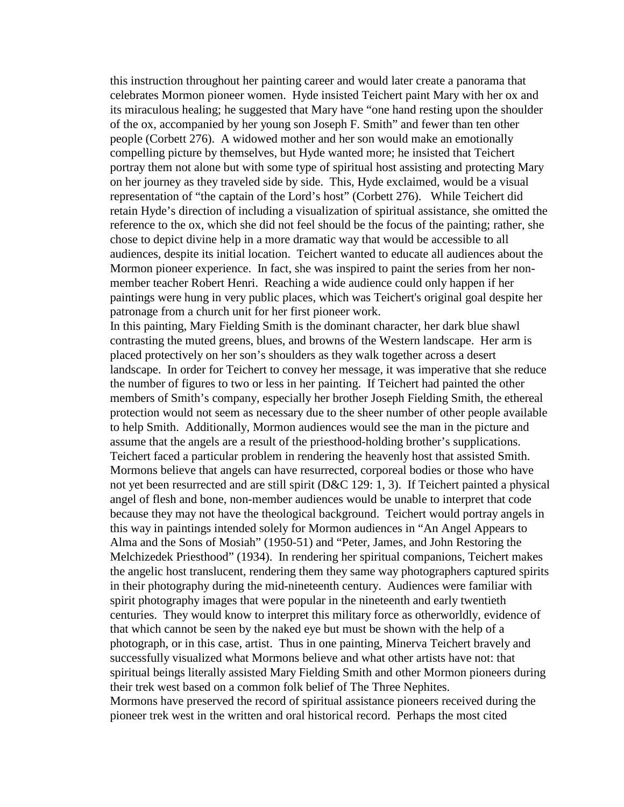this instruction throughout her painting career and would later create a panorama that celebrates Mormon pioneer women. Hyde insisted Teichert paint Mary with her ox and its miraculous healing; he suggested that Mary have "one hand resting upon the shoulder of the ox, accompanied by her young son Joseph F. Smith" and fewer than ten other people (Corbett 276). A widowed mother and her son would make an emotionally compelling picture by themselves, but Hyde wanted more; he insisted that Teichert portray them not alone but with some type of spiritual host assisting and protecting Mary on her journey as they traveled side by side. This, Hyde exclaimed, would be a visual representation of "the captain of the Lord's host" (Corbett 276). While Teichert did retain Hyde's direction of including a visualization of spiritual assistance, she omitted the reference to the ox, which she did not feel should be the focus of the painting; rather, she chose to depict divine help in a more dramatic way that would be accessible to all audiences, despite its initial location. Teichert wanted to educate all audiences about the Mormon pioneer experience. In fact, she was inspired to paint the series from her nonmember teacher Robert Henri. Reaching a wide audience could only happen if her paintings were hung in very public places, which was Teichert's original goal despite her patronage from a church unit for her first pioneer work.

In this painting, Mary Fielding Smith is the dominant character, her dark blue shawl contrasting the muted greens, blues, and browns of the Western landscape. Her arm is placed protectively on her son's shoulders as they walk together across a desert landscape. In order for Teichert to convey her message, it was imperative that she reduce the number of figures to two or less in her painting. If Teichert had painted the other members of Smith's company, especially her brother Joseph Fielding Smith, the ethereal protection would not seem as necessary due to the sheer number of other people available to help Smith. Additionally, Mormon audiences would see the man in the picture and assume that the angels are a result of the priesthood-holding brother's supplications. Teichert faced a particular problem in rendering the heavenly host that assisted Smith. Mormons believe that angels can have resurrected, corporeal bodies or those who have not yet been resurrected and are still spirit (D&C 129: 1, 3). If Teichert painted a physical angel of flesh and bone, non-member audiences would be unable to interpret that code because they may not have the theological background. Teichert would portray angels in this way in paintings intended solely for Mormon audiences in "An Angel Appears to Alma and the Sons of Mosiah" (1950-51) and "Peter, James, and John Restoring the Melchizedek Priesthood" (1934). In rendering her spiritual companions, Teichert makes the angelic host translucent, rendering them they same way photographers captured spirits in their photography during the mid-nineteenth century. Audiences were familiar with spirit photography images that were popular in the nineteenth and early twentieth centuries. They would know to interpret this military force as otherworldly, evidence of that which cannot be seen by the naked eye but must be shown with the help of a photograph, or in this case, artist. Thus in one painting, Minerva Teichert bravely and successfully visualized what Mormons believe and what other artists have not: that spiritual beings literally assisted Mary Fielding Smith and other Mormon pioneers during their trek west based on a common folk belief of The Three Nephites. Mormons have preserved the record of spiritual assistance pioneers received during the pioneer trek west in the written and oral historical record. Perhaps the most cited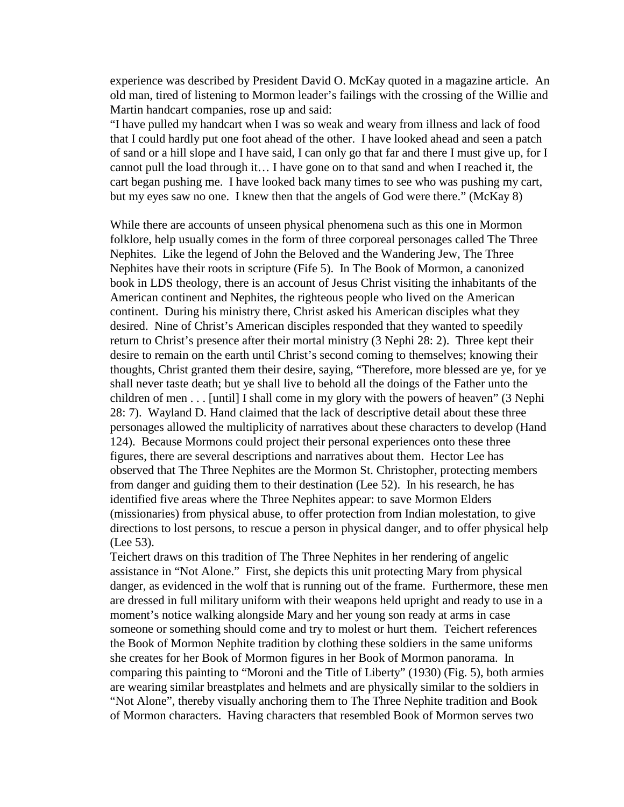experience was described by President David O. McKay quoted in a magazine article. An old man, tired of listening to Mormon leader's failings with the crossing of the Willie and Martin handcart companies, rose up and said:

"I have pulled my handcart when I was so weak and weary from illness and lack of food that I could hardly put one foot ahead of the other. I have looked ahead and seen a patch of sand or a hill slope and I have said, I can only go that far and there I must give up, for I cannot pull the load through it… I have gone on to that sand and when I reached it, the cart began pushing me. I have looked back many times to see who was pushing my cart, but my eyes saw no one. I knew then that the angels of God were there." (McKay 8)

While there are accounts of unseen physical phenomena such as this one in Mormon folklore, help usually comes in the form of three corporeal personages called The Three Nephites. Like the legend of John the Beloved and the Wandering Jew, The Three Nephites have their roots in scripture (Fife 5). In The Book of Mormon, a canonized book in LDS theology, there is an account of Jesus Christ visiting the inhabitants of the American continent and Nephites, the righteous people who lived on the American continent. During his ministry there, Christ asked his American disciples what they desired. Nine of Christ's American disciples responded that they wanted to speedily return to Christ's presence after their mortal ministry (3 Nephi 28: 2). Three kept their desire to remain on the earth until Christ's second coming to themselves; knowing their thoughts, Christ granted them their desire, saying, "Therefore, more blessed are ye, for ye shall never taste death; but ye shall live to behold all the doings of the Father unto the children of men . . . [until] I shall come in my glory with the powers of heaven" (3 Nephi 28: 7). Wayland D. Hand claimed that the lack of descriptive detail about these three personages allowed the multiplicity of narratives about these characters to develop (Hand 124). Because Mormons could project their personal experiences onto these three figures, there are several descriptions and narratives about them. Hector Lee has observed that The Three Nephites are the Mormon St. Christopher, protecting members from danger and guiding them to their destination (Lee 52). In his research, he has identified five areas where the Three Nephites appear: to save Mormon Elders (missionaries) from physical abuse, to offer protection from Indian molestation, to give directions to lost persons, to rescue a person in physical danger, and to offer physical help (Lee 53).

Teichert draws on this tradition of The Three Nephites in her rendering of angelic assistance in "Not Alone." First, she depicts this unit protecting Mary from physical danger, as evidenced in the wolf that is running out of the frame. Furthermore, these men are dressed in full military uniform with their weapons held upright and ready to use in a moment's notice walking alongside Mary and her young son ready at arms in case someone or something should come and try to molest or hurt them. Teichert references the Book of Mormon Nephite tradition by clothing these soldiers in the same uniforms she creates for her Book of Mormon figures in her Book of Mormon panorama. In comparing this painting to "Moroni and the Title of Liberty" (1930) (Fig. 5), both armies are wearing similar breastplates and helmets and are physically similar to the soldiers in "Not Alone", thereby visually anchoring them to The Three Nephite tradition and Book of Mormon characters. Having characters that resembled Book of Mormon serves two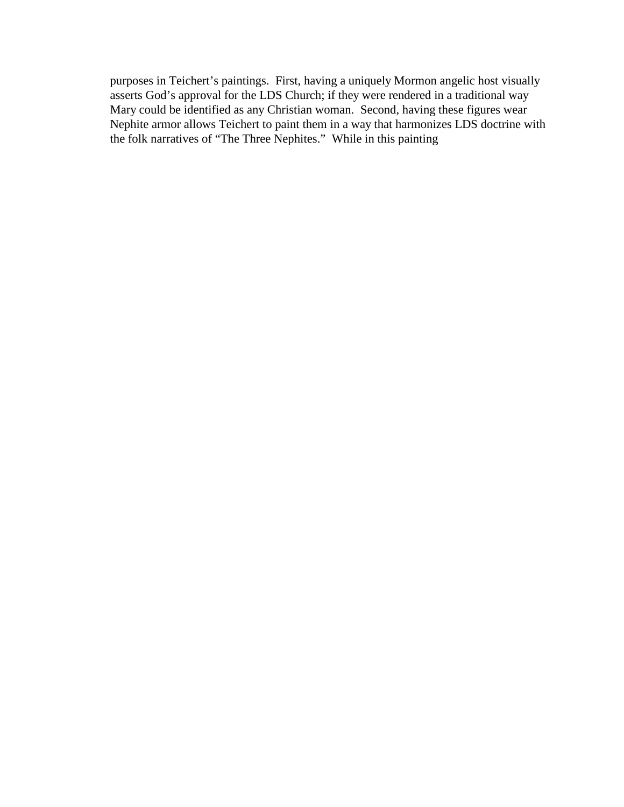purposes in Teichert's paintings. First, having a uniquely Mormon angelic host visually asserts God's approval for the LDS Church; if they were rendered in a traditional way Mary could be identified as any Christian woman. Second, having these figures wear Nephite armor allows Teichert to paint them in a way that harmonizes LDS doctrine with the folk narratives of "The Three Nephites." While in this painting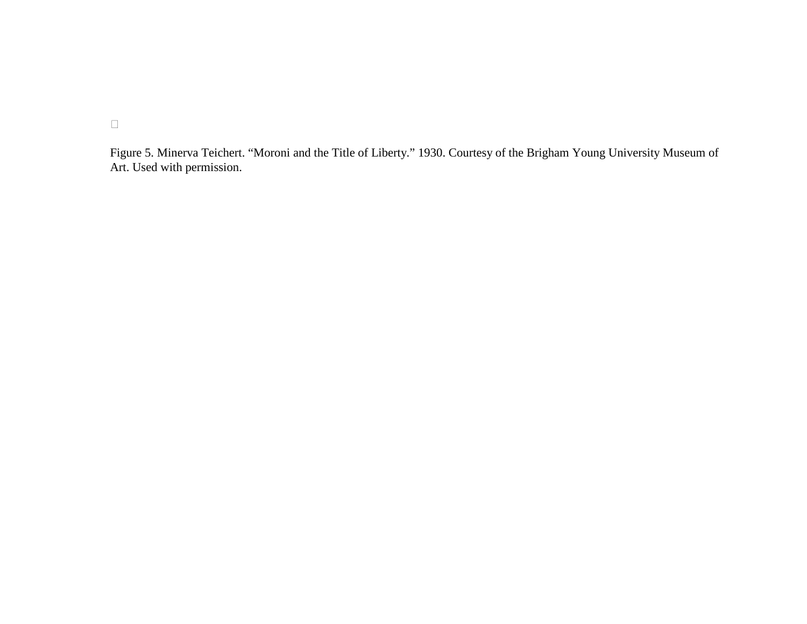Figure 5. Minerva Teichert. "Moroni and the Title of Liberty." 1930. Courtesy of the Brigham Young University Museum of Art. Used with permission.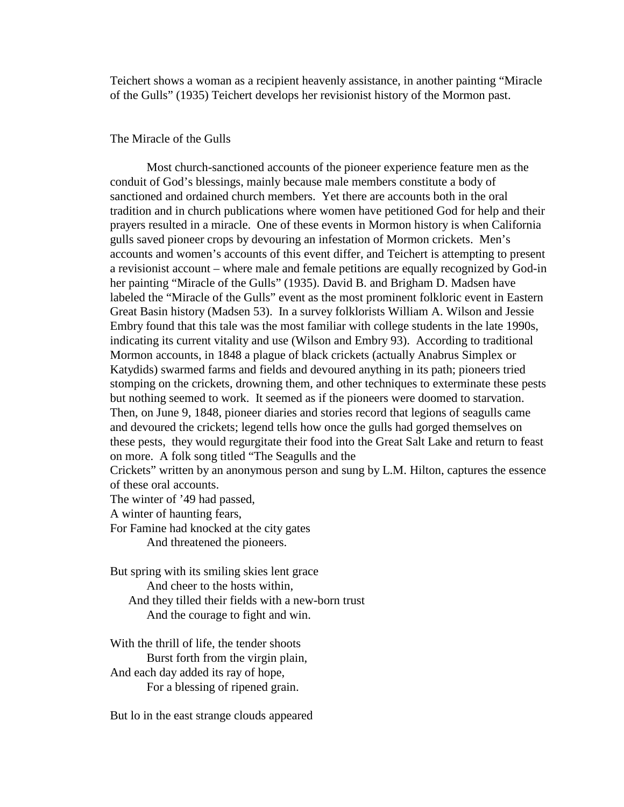Teichert shows a woman as a recipient heavenly assistance, in another painting "Miracle of the Gulls" (1935) Teichert develops her revisionist history of the Mormon past.

#### The Miracle of the Gulls

 Most church-sanctioned accounts of the pioneer experience feature men as the conduit of God's blessings, mainly because male members constitute a body of sanctioned and ordained church members. Yet there are accounts both in the oral tradition and in church publications where women have petitioned God for help and their prayers resulted in a miracle. One of these events in Mormon history is when California gulls saved pioneer crops by devouring an infestation of Mormon crickets. Men's accounts and women's accounts of this event differ, and Teichert is attempting to present a revisionist account – where male and female petitions are equally recognized by God-in her painting "Miracle of the Gulls" (1935). David B. and Brigham D. Madsen have labeled the "Miracle of the Gulls" event as the most prominent folkloric event in Eastern Great Basin history (Madsen 53). In a survey folklorists William A. Wilson and Jessie Embry found that this tale was the most familiar with college students in the late 1990s, indicating its current vitality and use (Wilson and Embry 93). According to traditional Mormon accounts, in 1848 a plague of black crickets (actually Anabrus Simplex or Katydids) swarmed farms and fields and devoured anything in its path; pioneers tried stomping on the crickets, drowning them, and other techniques to exterminate these pests but nothing seemed to work. It seemed as if the pioneers were doomed to starvation. Then, on June 9, 1848, pioneer diaries and stories record that legions of seagulls came and devoured the crickets; legend tells how once the gulls had gorged themselves on these pests, they would regurgitate their food into the Great Salt Lake and return to feast on more. A folk song titled "The Seagulls and the Crickets" written by an anonymous person and sung by L.M. Hilton, captures the essence of these oral accounts.

The winter of '49 had passed,

A winter of haunting fears,

For Famine had knocked at the city gates

And threatened the pioneers.

But spring with its smiling skies lent grace And cheer to the hosts within, And they tilled their fields with a new-born trust And the courage to fight and win.

With the thrill of life, the tender shoots Burst forth from the virgin plain, And each day added its ray of hope, For a blessing of ripened grain.

But lo in the east strange clouds appeared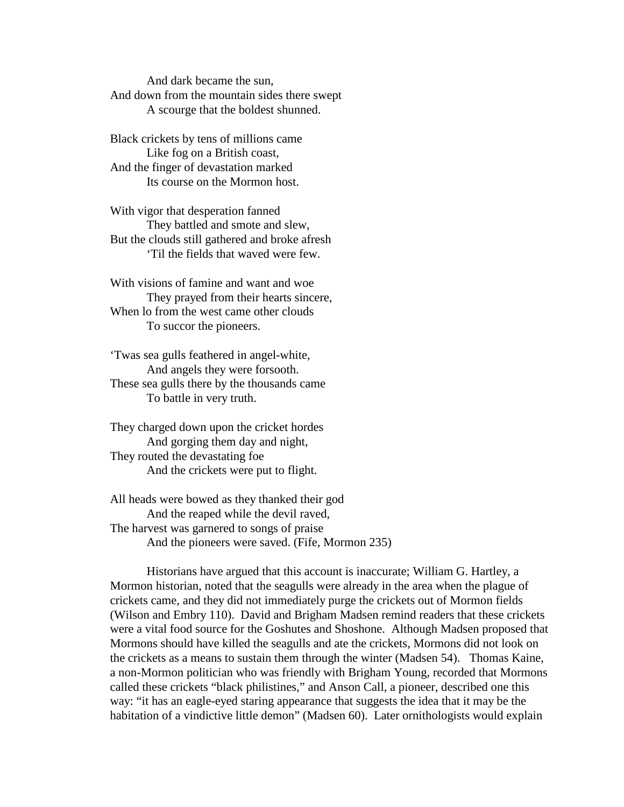And dark became the sun, And down from the mountain sides there swept A scourge that the boldest shunned.

Black crickets by tens of millions came Like fog on a British coast, And the finger of devastation marked Its course on the Mormon host.

With vigor that desperation fanned They battled and smote and slew, But the clouds still gathered and broke afresh 'Til the fields that waved were few.

With visions of famine and want and woe They prayed from their hearts sincere, When lo from the west came other clouds To succor the pioneers.

'Twas sea gulls feathered in angel-white, And angels they were forsooth. These sea gulls there by the thousands came To battle in very truth.

They charged down upon the cricket hordes And gorging them day and night, They routed the devastating foe And the crickets were put to flight.

All heads were bowed as they thanked their god And the reaped while the devil raved, The harvest was garnered to songs of praise And the pioneers were saved. (Fife, Mormon 235)

 Historians have argued that this account is inaccurate; William G. Hartley, a Mormon historian, noted that the seagulls were already in the area when the plague of crickets came, and they did not immediately purge the crickets out of Mormon fields (Wilson and Embry 110). David and Brigham Madsen remind readers that these crickets were a vital food source for the Goshutes and Shoshone. Although Madsen proposed that Mormons should have killed the seagulls and ate the crickets, Mormons did not look on the crickets as a means to sustain them through the winter (Madsen 54). Thomas Kaine, a non-Mormon politician who was friendly with Brigham Young, recorded that Mormons called these crickets "black philistines," and Anson Call, a pioneer, described one this way: "it has an eagle-eyed staring appearance that suggests the idea that it may be the habitation of a vindictive little demon" (Madsen 60). Later ornithologists would explain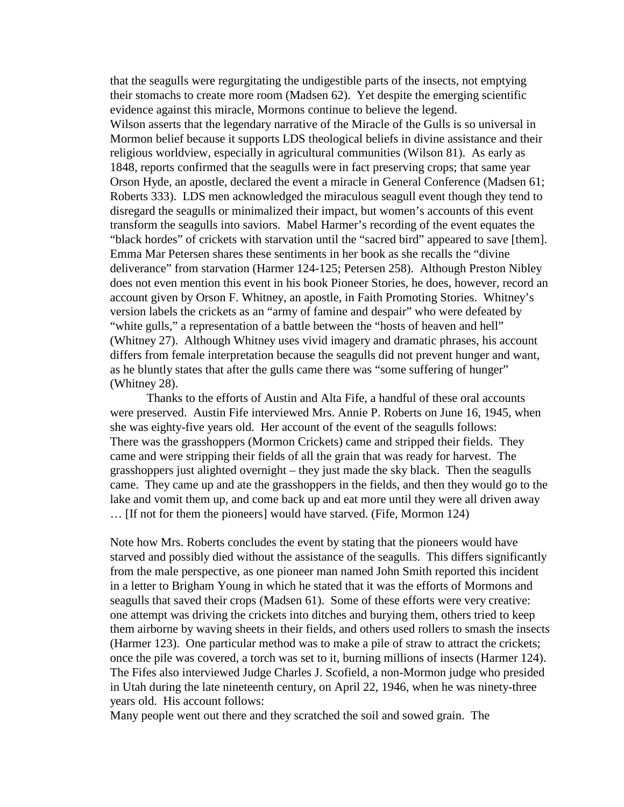that the seagulls were regurgitating the undigestible parts of the insects, not emptying their stomachs to create more room (Madsen 62). Yet despite the emerging scientific evidence against this miracle, Mormons continue to believe the legend. Wilson asserts that the legendary narrative of the Miracle of the Gulls is so universal in Mormon belief because it supports LDS theological beliefs in divine assistance and their religious worldview, especially in agricultural communities (Wilson 81). As early as 1848, reports confirmed that the seagulls were in fact preserving crops; that same year Orson Hyde, an apostle, declared the event a miracle in General Conference (Madsen 61; Roberts 333). LDS men acknowledged the miraculous seagull event though they tend to disregard the seagulls or minimalized their impact, but women's accounts of this event transform the seagulls into saviors. Mabel Harmer's recording of the event equates the "black hordes" of crickets with starvation until the "sacred bird" appeared to save [them]. Emma Mar Petersen shares these sentiments in her book as she recalls the "divine deliverance" from starvation (Harmer 124-125; Petersen 258). Although Preston Nibley does not even mention this event in his book Pioneer Stories, he does, however, record an account given by Orson F. Whitney, an apostle, in Faith Promoting Stories. Whitney's version labels the crickets as an "army of famine and despair" who were defeated by "white gulls," a representation of a battle between the "hosts of heaven and hell" (Whitney 27). Although Whitney uses vivid imagery and dramatic phrases, his account differs from female interpretation because the seagulls did not prevent hunger and want, as he bluntly states that after the gulls came there was "some suffering of hunger" (Whitney 28).

 Thanks to the efforts of Austin and Alta Fife, a handful of these oral accounts were preserved. Austin Fife interviewed Mrs. Annie P. Roberts on June 16, 1945, when she was eighty-five years old. Her account of the event of the seagulls follows: There was the grasshoppers (Mormon Crickets) came and stripped their fields. They came and were stripping their fields of all the grain that was ready for harvest. The grasshoppers just alighted overnight – they just made the sky black. Then the seagulls came. They came up and ate the grasshoppers in the fields, and then they would go to the lake and vomit them up, and come back up and eat more until they were all driven away … [If not for them the pioneers] would have starved. (Fife, Mormon 124)

Note how Mrs. Roberts concludes the event by stating that the pioneers would have starved and possibly died without the assistance of the seagulls. This differs significantly from the male perspective, as one pioneer man named John Smith reported this incident in a letter to Brigham Young in which he stated that it was the efforts of Mormons and seagulls that saved their crops (Madsen 61). Some of these efforts were very creative: one attempt was driving the crickets into ditches and burying them, others tried to keep them airborne by waving sheets in their fields, and others used rollers to smash the insects (Harmer 123). One particular method was to make a pile of straw to attract the crickets; once the pile was covered, a torch was set to it, burning millions of insects (Harmer 124). The Fifes also interviewed Judge Charles J. Scofield, a non-Mormon judge who presided in Utah during the late nineteenth century, on April 22, 1946, when he was ninety-three years old. His account follows:

Many people went out there and they scratched the soil and sowed grain. The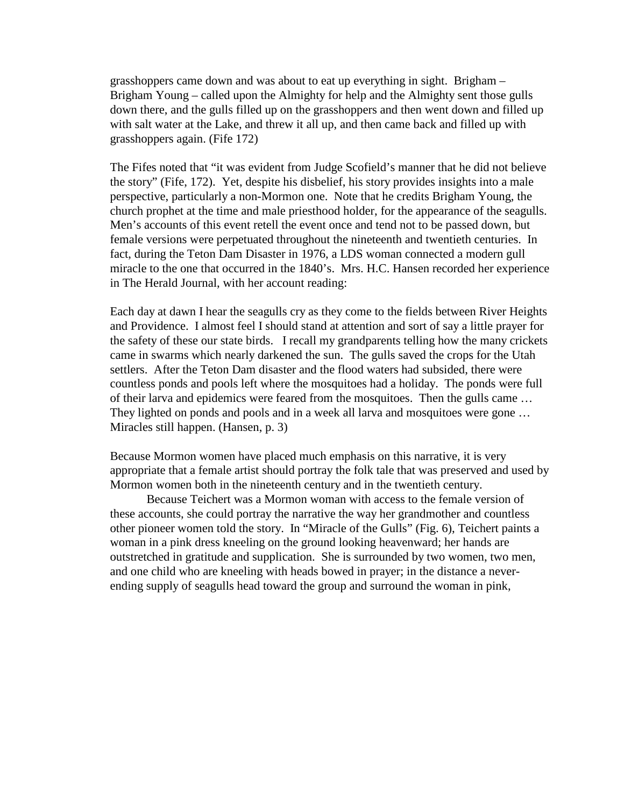grasshoppers came down and was about to eat up everything in sight. Brigham – Brigham Young – called upon the Almighty for help and the Almighty sent those gulls down there, and the gulls filled up on the grasshoppers and then went down and filled up with salt water at the Lake, and threw it all up, and then came back and filled up with grasshoppers again. (Fife 172)

The Fifes noted that "it was evident from Judge Scofield's manner that he did not believe the story" (Fife, 172). Yet, despite his disbelief, his story provides insights into a male perspective, particularly a non-Mormon one. Note that he credits Brigham Young, the church prophet at the time and male priesthood holder, for the appearance of the seagulls. Men's accounts of this event retell the event once and tend not to be passed down, but female versions were perpetuated throughout the nineteenth and twentieth centuries. In fact, during the Teton Dam Disaster in 1976, a LDS woman connected a modern gull miracle to the one that occurred in the 1840's. Mrs. H.C. Hansen recorded her experience in The Herald Journal, with her account reading:

Each day at dawn I hear the seagulls cry as they come to the fields between River Heights and Providence. I almost feel I should stand at attention and sort of say a little prayer for the safety of these our state birds. I recall my grandparents telling how the many crickets came in swarms which nearly darkened the sun. The gulls saved the crops for the Utah settlers. After the Teton Dam disaster and the flood waters had subsided, there were countless ponds and pools left where the mosquitoes had a holiday. The ponds were full of their larva and epidemics were feared from the mosquitoes. Then the gulls came … They lighted on ponds and pools and in a week all larva and mosquitoes were gone ... Miracles still happen. (Hansen, p. 3)

Because Mormon women have placed much emphasis on this narrative, it is very appropriate that a female artist should portray the folk tale that was preserved and used by Mormon women both in the nineteenth century and in the twentieth century.

 Because Teichert was a Mormon woman with access to the female version of these accounts, she could portray the narrative the way her grandmother and countless other pioneer women told the story. In "Miracle of the Gulls" (Fig. 6), Teichert paints a woman in a pink dress kneeling on the ground looking heavenward; her hands are outstretched in gratitude and supplication. She is surrounded by two women, two men, and one child who are kneeling with heads bowed in prayer; in the distance a neverending supply of seagulls head toward the group and surround the woman in pink,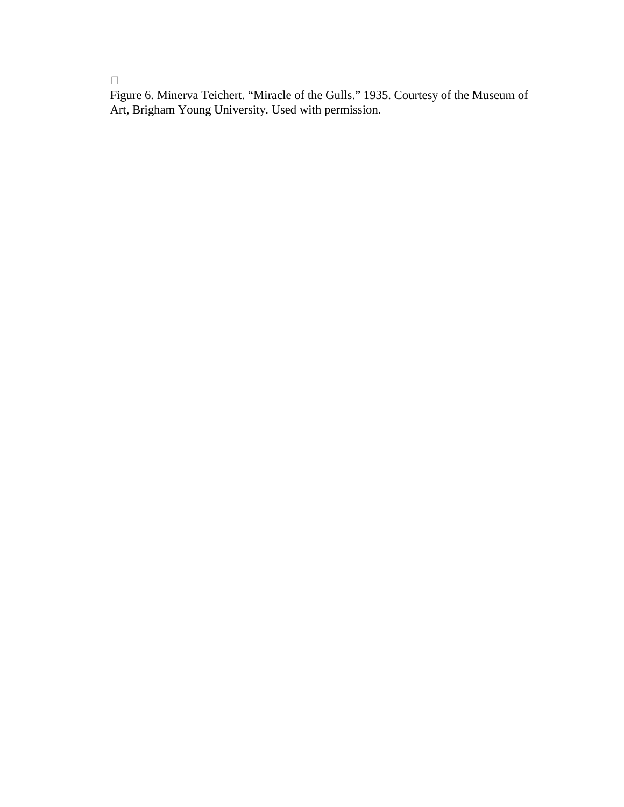Figure 6. Minerva Teichert. "Miracle of the Gulls." 1935. Courtesy of the Museum of Art, Brigham Young University. Used with permission.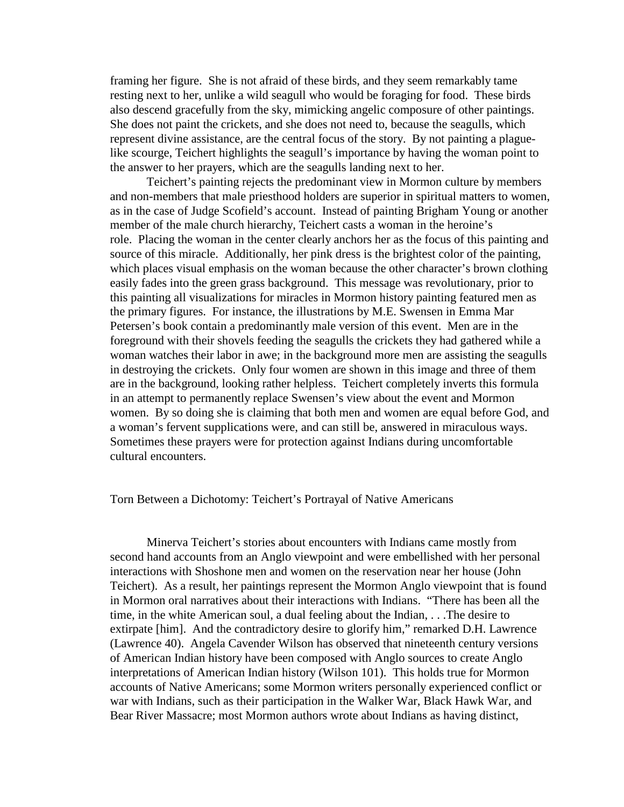framing her figure. She is not afraid of these birds, and they seem remarkably tame resting next to her, unlike a wild seagull who would be foraging for food. These birds also descend gracefully from the sky, mimicking angelic composure of other paintings. She does not paint the crickets, and she does not need to, because the seagulls, which represent divine assistance, are the central focus of the story. By not painting a plaguelike scourge, Teichert highlights the seagull's importance by having the woman point to the answer to her prayers, which are the seagulls landing next to her.

 Teichert's painting rejects the predominant view in Mormon culture by members and non-members that male priesthood holders are superior in spiritual matters to women, as in the case of Judge Scofield's account. Instead of painting Brigham Young or another member of the male church hierarchy, Teichert casts a woman in the heroine's role. Placing the woman in the center clearly anchors her as the focus of this painting and source of this miracle. Additionally, her pink dress is the brightest color of the painting, which places visual emphasis on the woman because the other character's brown clothing easily fades into the green grass background. This message was revolutionary, prior to this painting all visualizations for miracles in Mormon history painting featured men as the primary figures. For instance, the illustrations by M.E. Swensen in Emma Mar Petersen's book contain a predominantly male version of this event. Men are in the foreground with their shovels feeding the seagulls the crickets they had gathered while a woman watches their labor in awe; in the background more men are assisting the seagulls in destroying the crickets. Only four women are shown in this image and three of them are in the background, looking rather helpless. Teichert completely inverts this formula in an attempt to permanently replace Swensen's view about the event and Mormon women. By so doing she is claiming that both men and women are equal before God, and a woman's fervent supplications were, and can still be, answered in miraculous ways. Sometimes these prayers were for protection against Indians during uncomfortable cultural encounters.

#### Torn Between a Dichotomy: Teichert's Portrayal of Native Americans

 Minerva Teichert's stories about encounters with Indians came mostly from second hand accounts from an Anglo viewpoint and were embellished with her personal interactions with Shoshone men and women on the reservation near her house (John Teichert). As a result, her paintings represent the Mormon Anglo viewpoint that is found in Mormon oral narratives about their interactions with Indians. "There has been all the time, in the white American soul, a dual feeling about the Indian, . . .The desire to extirpate [him]. And the contradictory desire to glorify him," remarked D.H. Lawrence (Lawrence 40). Angela Cavender Wilson has observed that nineteenth century versions of American Indian history have been composed with Anglo sources to create Anglo interpretations of American Indian history (Wilson 101). This holds true for Mormon accounts of Native Americans; some Mormon writers personally experienced conflict or war with Indians, such as their participation in the Walker War, Black Hawk War, and Bear River Massacre; most Mormon authors wrote about Indians as having distinct,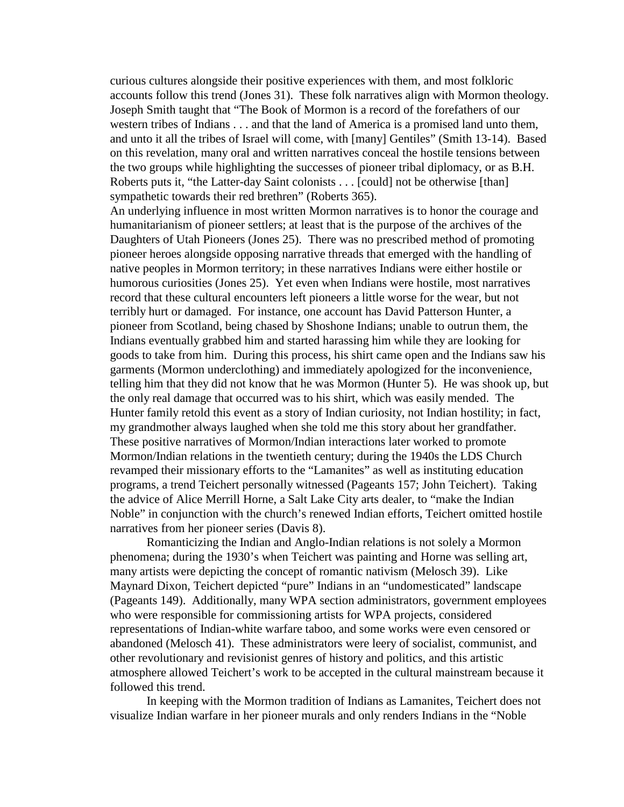curious cultures alongside their positive experiences with them, and most folkloric accounts follow this trend (Jones 31). These folk narratives align with Mormon theology. Joseph Smith taught that "The Book of Mormon is a record of the forefathers of our western tribes of Indians . . . and that the land of America is a promised land unto them, and unto it all the tribes of Israel will come, with [many] Gentiles" (Smith 13-14). Based on this revelation, many oral and written narratives conceal the hostile tensions between the two groups while highlighting the successes of pioneer tribal diplomacy, or as B.H. Roberts puts it, "the Latter-day Saint colonists . . . [could] not be otherwise [than] sympathetic towards their red brethren" (Roberts 365).

An underlying influence in most written Mormon narratives is to honor the courage and humanitarianism of pioneer settlers; at least that is the purpose of the archives of the Daughters of Utah Pioneers (Jones 25). There was no prescribed method of promoting pioneer heroes alongside opposing narrative threads that emerged with the handling of native peoples in Mormon territory; in these narratives Indians were either hostile or humorous curiosities (Jones 25). Yet even when Indians were hostile, most narratives record that these cultural encounters left pioneers a little worse for the wear, but not terribly hurt or damaged. For instance, one account has David Patterson Hunter, a pioneer from Scotland, being chased by Shoshone Indians; unable to outrun them, the Indians eventually grabbed him and started harassing him while they are looking for goods to take from him. During this process, his shirt came open and the Indians saw his garments (Mormon underclothing) and immediately apologized for the inconvenience, telling him that they did not know that he was Mormon (Hunter 5). He was shook up, but the only real damage that occurred was to his shirt, which was easily mended. The Hunter family retold this event as a story of Indian curiosity, not Indian hostility; in fact, my grandmother always laughed when she told me this story about her grandfather. These positive narratives of Mormon/Indian interactions later worked to promote Mormon/Indian relations in the twentieth century; during the 1940s the LDS Church revamped their missionary efforts to the "Lamanites" as well as instituting education programs, a trend Teichert personally witnessed (Pageants 157; John Teichert). Taking the advice of Alice Merrill Horne, a Salt Lake City arts dealer, to "make the Indian Noble" in conjunction with the church's renewed Indian efforts, Teichert omitted hostile narratives from her pioneer series (Davis 8).

 Romanticizing the Indian and Anglo-Indian relations is not solely a Mormon phenomena; during the 1930's when Teichert was painting and Horne was selling art, many artists were depicting the concept of romantic nativism (Melosch 39). Like Maynard Dixon, Teichert depicted "pure" Indians in an "undomesticated" landscape (Pageants 149). Additionally, many WPA section administrators, government employees who were responsible for commissioning artists for WPA projects, considered representations of Indian-white warfare taboo, and some works were even censored or abandoned (Melosch 41). These administrators were leery of socialist, communist, and other revolutionary and revisionist genres of history and politics, and this artistic atmosphere allowed Teichert's work to be accepted in the cultural mainstream because it followed this trend.

 In keeping with the Mormon tradition of Indians as Lamanites, Teichert does not visualize Indian warfare in her pioneer murals and only renders Indians in the "Noble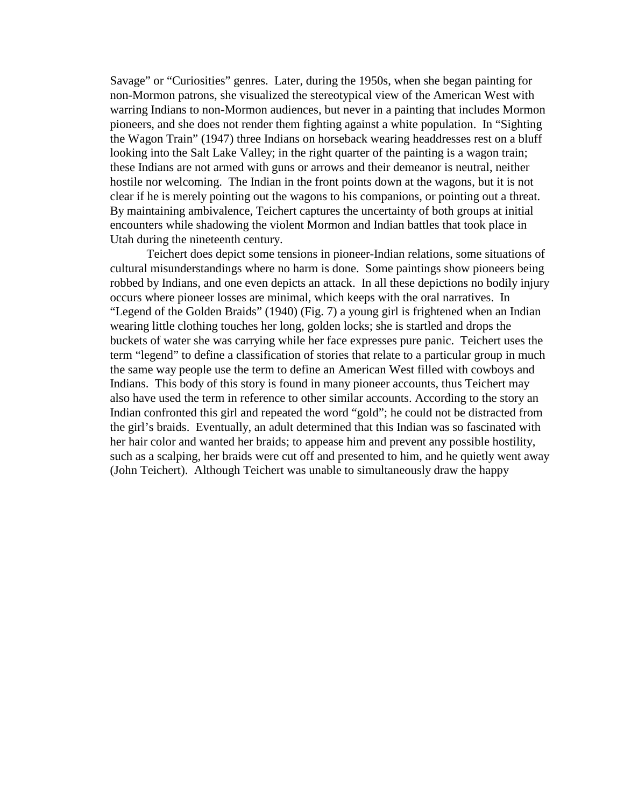Savage" or "Curiosities" genres. Later, during the 1950s, when she began painting for non-Mormon patrons, she visualized the stereotypical view of the American West with warring Indians to non-Mormon audiences, but never in a painting that includes Mormon pioneers, and she does not render them fighting against a white population. In "Sighting the Wagon Train" (1947) three Indians on horseback wearing headdresses rest on a bluff looking into the Salt Lake Valley; in the right quarter of the painting is a wagon train; these Indians are not armed with guns or arrows and their demeanor is neutral, neither hostile nor welcoming. The Indian in the front points down at the wagons, but it is not clear if he is merely pointing out the wagons to his companions, or pointing out a threat. By maintaining ambivalence, Teichert captures the uncertainty of both groups at initial encounters while shadowing the violent Mormon and Indian battles that took place in Utah during the nineteenth century.

 Teichert does depict some tensions in pioneer-Indian relations, some situations of cultural misunderstandings where no harm is done. Some paintings show pioneers being robbed by Indians, and one even depicts an attack. In all these depictions no bodily injury occurs where pioneer losses are minimal, which keeps with the oral narratives. In "Legend of the Golden Braids" (1940) (Fig. 7) a young girl is frightened when an Indian wearing little clothing touches her long, golden locks; she is startled and drops the buckets of water she was carrying while her face expresses pure panic. Teichert uses the term "legend" to define a classification of stories that relate to a particular group in much the same way people use the term to define an American West filled with cowboys and Indians. This body of this story is found in many pioneer accounts, thus Teichert may also have used the term in reference to other similar accounts. According to the story an Indian confronted this girl and repeated the word "gold"; he could not be distracted from the girl's braids. Eventually, an adult determined that this Indian was so fascinated with her hair color and wanted her braids; to appease him and prevent any possible hostility, such as a scalping, her braids were cut off and presented to him, and he quietly went away (John Teichert). Although Teichert was unable to simultaneously draw the happy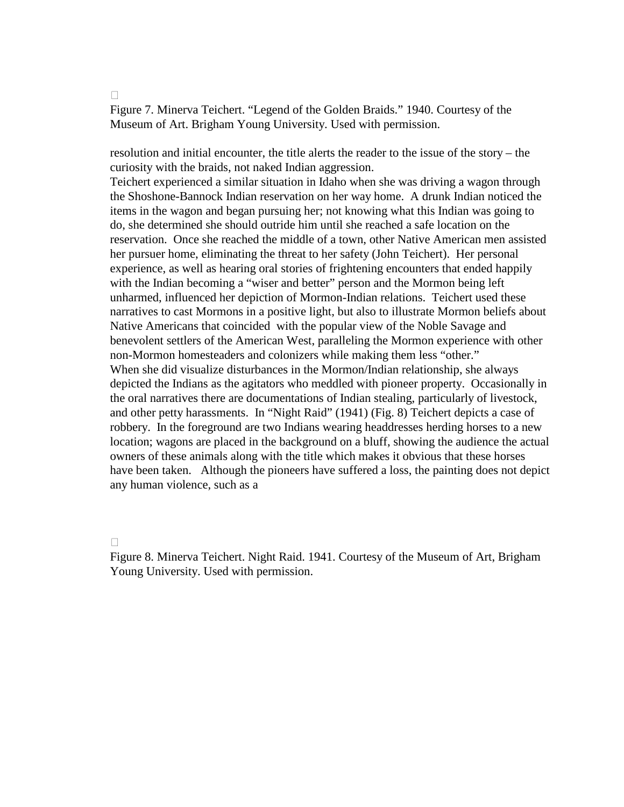Figure 7. Minerva Teichert. "Legend of the Golden Braids." 1940. Courtesy of the Museum of Art. Brigham Young University. Used with permission.

resolution and initial encounter, the title alerts the reader to the issue of the story – the curiosity with the braids, not naked Indian aggression.

Teichert experienced a similar situation in Idaho when she was driving a wagon through the Shoshone-Bannock Indian reservation on her way home. A drunk Indian noticed the items in the wagon and began pursuing her; not knowing what this Indian was going to do, she determined she should outride him until she reached a safe location on the reservation. Once she reached the middle of a town, other Native American men assisted her pursuer home, eliminating the threat to her safety (John Teichert). Her personal experience, as well as hearing oral stories of frightening encounters that ended happily with the Indian becoming a "wiser and better" person and the Mormon being left unharmed, influenced her depiction of Mormon-Indian relations. Teichert used these narratives to cast Mormons in a positive light, but also to illustrate Mormon beliefs about Native Americans that coincided with the popular view of the Noble Savage and benevolent settlers of the American West, paralleling the Mormon experience with other non-Mormon homesteaders and colonizers while making them less "other." When she did visualize disturbances in the Mormon/Indian relationship, she always depicted the Indians as the agitators who meddled with pioneer property. Occasionally in the oral narratives there are documentations of Indian stealing, particularly of livestock, and other petty harassments. In "Night Raid" (1941) (Fig. 8) Teichert depicts a case of robbery. In the foreground are two Indians wearing headdresses herding horses to a new location; wagons are placed in the background on a bluff, showing the audience the actual owners of these animals along with the title which makes it obvious that these horses have been taken. Although the pioneers have suffered a loss, the painting does not depict any human violence, such as a

Figure 8. Minerva Teichert. Night Raid. 1941. Courtesy of the Museum of Art, Brigham Young University. Used with permission.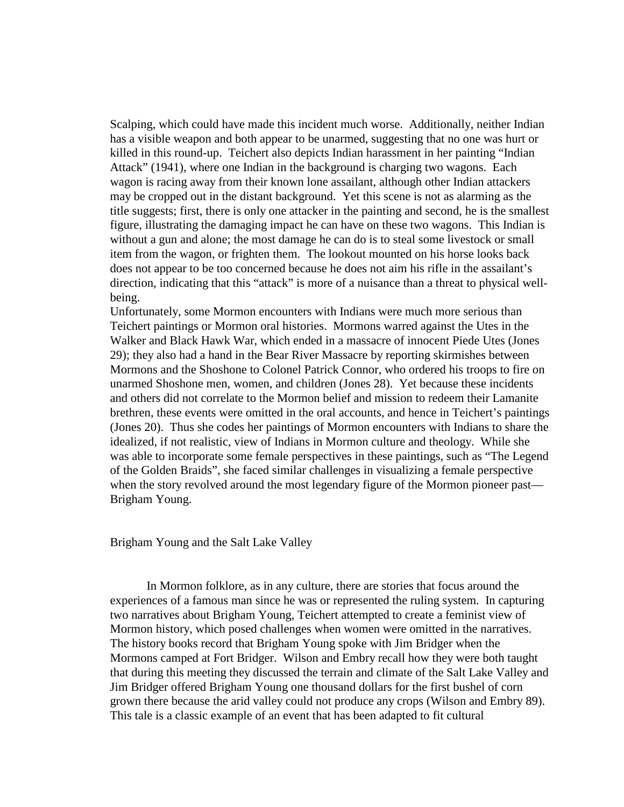Scalping, which could have made this incident much worse. Additionally, neither Indian has a visible weapon and both appear to be unarmed, suggesting that no one was hurt or killed in this round-up. Teichert also depicts Indian harassment in her painting "Indian Attack" (1941), where one Indian in the background is charging two wagons. Each wagon is racing away from their known lone assailant, although other Indian attackers may be cropped out in the distant background. Yet this scene is not as alarming as the title suggests; first, there is only one attacker in the painting and second, he is the smallest figure, illustrating the damaging impact he can have on these two wagons. This Indian is without a gun and alone; the most damage he can do is to steal some livestock or small item from the wagon, or frighten them. The lookout mounted on his horse looks back does not appear to be too concerned because he does not aim his rifle in the assailant's direction, indicating that this "attack" is more of a nuisance than a threat to physical wellbeing.

Unfortunately, some Mormon encounters with Indians were much more serious than Teichert paintings or Mormon oral histories. Mormons warred against the Utes in the Walker and Black Hawk War, which ended in a massacre of innocent Piede Utes (Jones 29); they also had a hand in the Bear River Massacre by reporting skirmishes between Mormons and the Shoshone to Colonel Patrick Connor, who ordered his troops to fire on unarmed Shoshone men, women, and children (Jones 28). Yet because these incidents and others did not correlate to the Mormon belief and mission to redeem their Lamanite brethren, these events were omitted in the oral accounts, and hence in Teichert's paintings (Jones 20). Thus she codes her paintings of Mormon encounters with Indians to share the idealized, if not realistic, view of Indians in Mormon culture and theology. While she was able to incorporate some female perspectives in these paintings, such as "The Legend of the Golden Braids", she faced similar challenges in visualizing a female perspective when the story revolved around the most legendary figure of the Mormon pioneer past— Brigham Young.

Brigham Young and the Salt Lake Valley

 In Mormon folklore, as in any culture, there are stories that focus around the experiences of a famous man since he was or represented the ruling system. In capturing two narratives about Brigham Young, Teichert attempted to create a feminist view of Mormon history, which posed challenges when women were omitted in the narratives. The history books record that Brigham Young spoke with Jim Bridger when the Mormons camped at Fort Bridger. Wilson and Embry recall how they were both taught that during this meeting they discussed the terrain and climate of the Salt Lake Valley and Jim Bridger offered Brigham Young one thousand dollars for the first bushel of corn grown there because the arid valley could not produce any crops (Wilson and Embry 89). This tale is a classic example of an event that has been adapted to fit cultural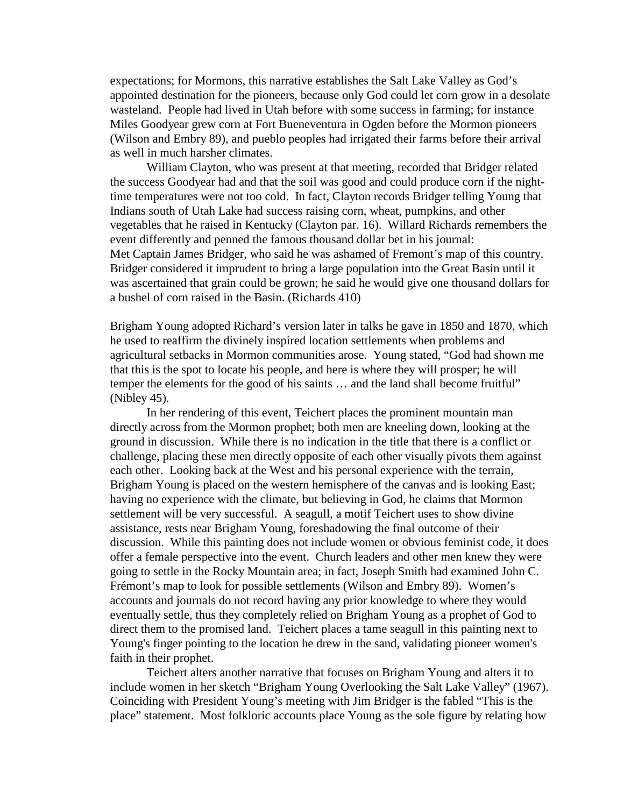expectations; for Mormons, this narrative establishes the Salt Lake Valley as God's appointed destination for the pioneers, because only God could let corn grow in a desolate wasteland. People had lived in Utah before with some success in farming; for instance Miles Goodyear grew corn at Fort Bueneventura in Ogden before the Mormon pioneers (Wilson and Embry 89), and pueblo peoples had irrigated their farms before their arrival as well in much harsher climates.

 William Clayton, who was present at that meeting, recorded that Bridger related the success Goodyear had and that the soil was good and could produce corn if the nighttime temperatures were not too cold. In fact, Clayton records Bridger telling Young that Indians south of Utah Lake had success raising corn, wheat, pumpkins, and other vegetables that he raised in Kentucky (Clayton par. 16). Willard Richards remembers the event differently and penned the famous thousand dollar bet in his journal: Met Captain James Bridger, who said he was ashamed of Fremont's map of this country. Bridger considered it imprudent to bring a large population into the Great Basin until it was ascertained that grain could be grown; he said he would give one thousand dollars for a bushel of corn raised in the Basin. (Richards 410)

Brigham Young adopted Richard's version later in talks he gave in 1850 and 1870, which he used to reaffirm the divinely inspired location settlements when problems and agricultural setbacks in Mormon communities arose. Young stated, "God had shown me that this is the spot to locate his people, and here is where they will prosper; he will temper the elements for the good of his saints … and the land shall become fruitful" (Nibley 45).

 In her rendering of this event, Teichert places the prominent mountain man directly across from the Mormon prophet; both men are kneeling down, looking at the ground in discussion. While there is no indication in the title that there is a conflict or challenge, placing these men directly opposite of each other visually pivots them against each other. Looking back at the West and his personal experience with the terrain, Brigham Young is placed on the western hemisphere of the canvas and is looking East; having no experience with the climate, but believing in God, he claims that Mormon settlement will be very successful. A seagull, a motif Teichert uses to show divine assistance, rests near Brigham Young, foreshadowing the final outcome of their discussion. While this painting does not include women or obvious feminist code, it does offer a female perspective into the event. Church leaders and other men knew they were going to settle in the Rocky Mountain area; in fact, Joseph Smith had examined John C. Frémont's map to look for possible settlements (Wilson and Embry 89). Women's accounts and journals do not record having any prior knowledge to where they would eventually settle, thus they completely relied on Brigham Young as a prophet of God to direct them to the promised land. Teichert places a tame seagull in this painting next to Young's finger pointing to the location he drew in the sand, validating pioneer women's faith in their prophet.

 Teichert alters another narrative that focuses on Brigham Young and alters it to include women in her sketch "Brigham Young Overlooking the Salt Lake Valley" (1967). Coinciding with President Young's meeting with Jim Bridger is the fabled "This is the place" statement. Most folkloric accounts place Young as the sole figure by relating how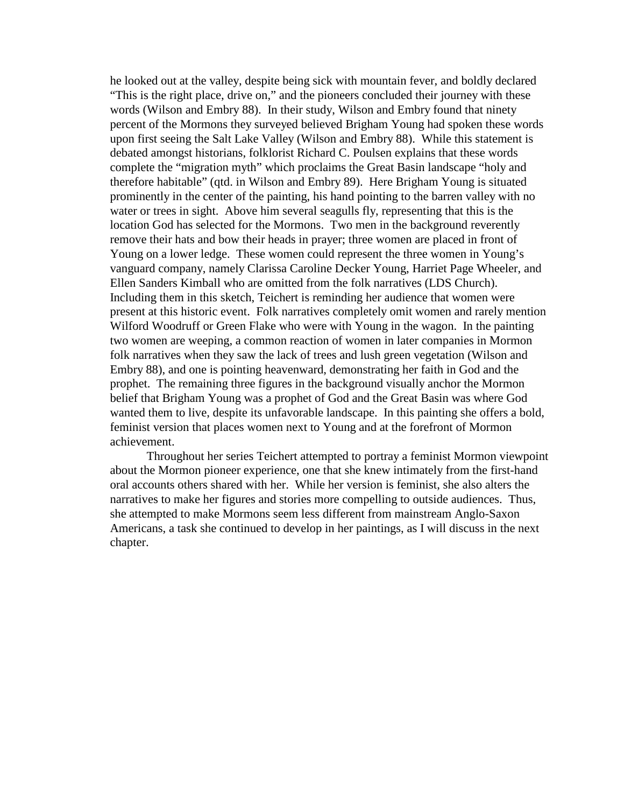he looked out at the valley, despite being sick with mountain fever, and boldly declared "This is the right place, drive on," and the pioneers concluded their journey with these words (Wilson and Embry 88). In their study, Wilson and Embry found that ninety percent of the Mormons they surveyed believed Brigham Young had spoken these words upon first seeing the Salt Lake Valley (Wilson and Embry 88). While this statement is debated amongst historians, folklorist Richard C. Poulsen explains that these words complete the "migration myth" which proclaims the Great Basin landscape "holy and therefore habitable" (qtd. in Wilson and Embry 89). Here Brigham Young is situated prominently in the center of the painting, his hand pointing to the barren valley with no water or trees in sight. Above him several seagulls fly, representing that this is the location God has selected for the Mormons. Two men in the background reverently remove their hats and bow their heads in prayer; three women are placed in front of Young on a lower ledge. These women could represent the three women in Young's vanguard company, namely Clarissa Caroline Decker Young, Harriet Page Wheeler, and Ellen Sanders Kimball who are omitted from the folk narratives (LDS Church). Including them in this sketch, Teichert is reminding her audience that women were present at this historic event. Folk narratives completely omit women and rarely mention Wilford Woodruff or Green Flake who were with Young in the wagon. In the painting two women are weeping, a common reaction of women in later companies in Mormon folk narratives when they saw the lack of trees and lush green vegetation (Wilson and Embry 88), and one is pointing heavenward, demonstrating her faith in God and the prophet. The remaining three figures in the background visually anchor the Mormon belief that Brigham Young was a prophet of God and the Great Basin was where God wanted them to live, despite its unfavorable landscape. In this painting she offers a bold, feminist version that places women next to Young and at the forefront of Mormon achievement.

 Throughout her series Teichert attempted to portray a feminist Mormon viewpoint about the Mormon pioneer experience, one that she knew intimately from the first-hand oral accounts others shared with her. While her version is feminist, she also alters the narratives to make her figures and stories more compelling to outside audiences. Thus, she attempted to make Mormons seem less different from mainstream Anglo-Saxon Americans, a task she continued to develop in her paintings, as I will discuss in the next chapter.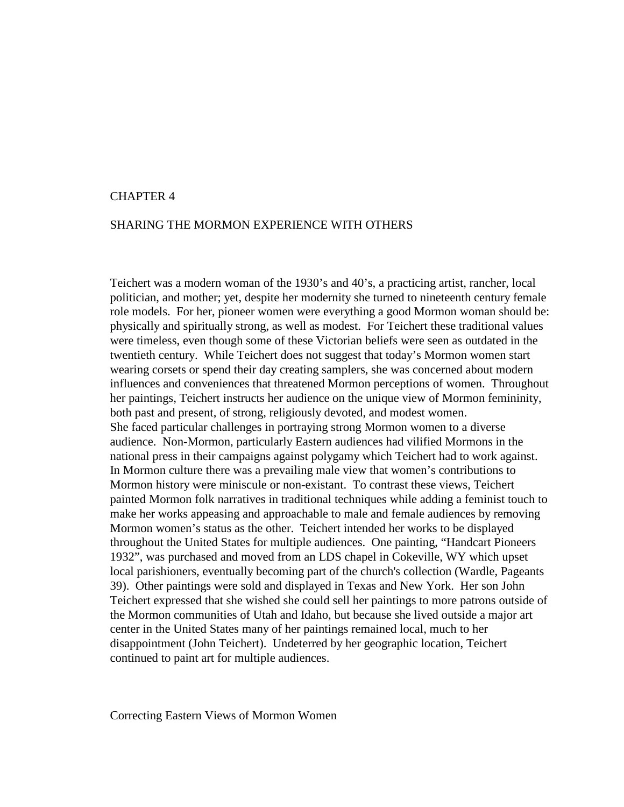#### CHAPTER 4

#### SHARING THE MORMON EXPERIENCE WITH OTHERS

Teichert was a modern woman of the 1930's and 40's, a practicing artist, rancher, local politician, and mother; yet, despite her modernity she turned to nineteenth century female role models. For her, pioneer women were everything a good Mormon woman should be: physically and spiritually strong, as well as modest. For Teichert these traditional values were timeless, even though some of these Victorian beliefs were seen as outdated in the twentieth century. While Teichert does not suggest that today's Mormon women start wearing corsets or spend their day creating samplers, she was concerned about modern influences and conveniences that threatened Mormon perceptions of women. Throughout her paintings, Teichert instructs her audience on the unique view of Mormon femininity, both past and present, of strong, religiously devoted, and modest women. She faced particular challenges in portraying strong Mormon women to a diverse audience. Non-Mormon, particularly Eastern audiences had vilified Mormons in the national press in their campaigns against polygamy which Teichert had to work against. In Mormon culture there was a prevailing male view that women's contributions to Mormon history were miniscule or non-existant. To contrast these views, Teichert painted Mormon folk narratives in traditional techniques while adding a feminist touch to make her works appeasing and approachable to male and female audiences by removing Mormon women's status as the other. Teichert intended her works to be displayed throughout the United States for multiple audiences. One painting, "Handcart Pioneers 1932", was purchased and moved from an LDS chapel in Cokeville, WY which upset local parishioners, eventually becoming part of the church's collection (Wardle, Pageants 39). Other paintings were sold and displayed in Texas and New York. Her son John Teichert expressed that she wished she could sell her paintings to more patrons outside of the Mormon communities of Utah and Idaho, but because she lived outside a major art center in the United States many of her paintings remained local, much to her disappointment (John Teichert). Undeterred by her geographic location, Teichert continued to paint art for multiple audiences.

Correcting Eastern Views of Mormon Women